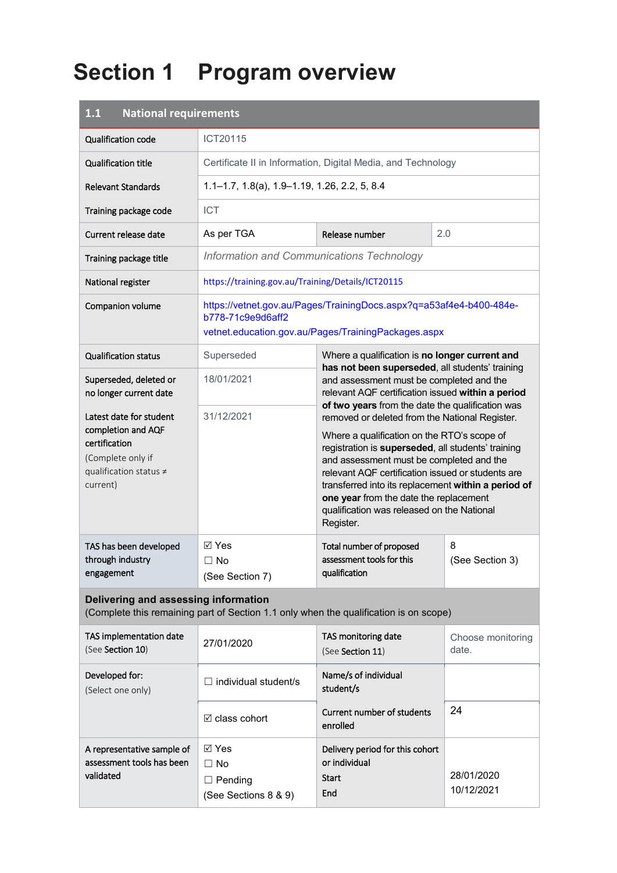# **Section 1 Program overview**

| <b>National requirements</b><br>1.1                                                                                       |                                                                                       |                                                                                                                                                                                                                                                                                                                                                                                                                                                                                                                                                                                                                          |                            |  |
|---------------------------------------------------------------------------------------------------------------------------|---------------------------------------------------------------------------------------|--------------------------------------------------------------------------------------------------------------------------------------------------------------------------------------------------------------------------------------------------------------------------------------------------------------------------------------------------------------------------------------------------------------------------------------------------------------------------------------------------------------------------------------------------------------------------------------------------------------------------|----------------------------|--|
| <b>Qualification code</b>                                                                                                 | ICT20115                                                                              |                                                                                                                                                                                                                                                                                                                                                                                                                                                                                                                                                                                                                          |                            |  |
| <b>Qualification title</b>                                                                                                | Certificate II in Information, Digital Media, and Technology                          |                                                                                                                                                                                                                                                                                                                                                                                                                                                                                                                                                                                                                          |                            |  |
| <b>Relevant Standards</b>                                                                                                 | $1.1 - 1.7$ , $1.8(a)$ , $1.9 - 1.19$ , $1.26$ , $2.2$ , $5$ , $8.4$                  |                                                                                                                                                                                                                                                                                                                                                                                                                                                                                                                                                                                                                          |                            |  |
| Training package code                                                                                                     | <b>ICT</b>                                                                            |                                                                                                                                                                                                                                                                                                                                                                                                                                                                                                                                                                                                                          |                            |  |
| Current release date                                                                                                      | As per TGA<br>Release number<br>2.0                                                   |                                                                                                                                                                                                                                                                                                                                                                                                                                                                                                                                                                                                                          |                            |  |
| Training package title                                                                                                    | Information and Communications Technology                                             |                                                                                                                                                                                                                                                                                                                                                                                                                                                                                                                                                                                                                          |                            |  |
| National register                                                                                                         | https://training.gov.au/Training/Details/ICT20115                                     |                                                                                                                                                                                                                                                                                                                                                                                                                                                                                                                                                                                                                          |                            |  |
| Companion volume                                                                                                          | b778-71c9e9d6aff2                                                                     | https://vetnet.gov.au/Pages/TrainingDocs.aspx?q=a53af4e4-b400-484e-<br>vetnet.education.gov.au/Pages/TrainingPackages.aspx                                                                                                                                                                                                                                                                                                                                                                                                                                                                                               |                            |  |
| <b>Qualification status</b>                                                                                               | Superseded                                                                            | Where a qualification is no longer current and                                                                                                                                                                                                                                                                                                                                                                                                                                                                                                                                                                           |                            |  |
| Superseded, deleted or<br>no longer current date                                                                          | 18/01/2021                                                                            | has not been superseded, all students' training<br>and assessment must be completed and the<br>relevant AQF certification issued within a period<br>of two years from the date the qualification was<br>removed or deleted from the National Register.<br>Where a qualification on the RTO's scope of<br>registration is superseded, all students' training<br>and assessment must be completed and the<br>relevant AQF certification issued or students are<br>transferred into its replacement within a period of<br>one year from the date the replacement<br>qualification was released on the National<br>Register. |                            |  |
| Latest date for student<br>completion and AQF<br>certification<br>(Complete only if<br>qualification status ≠<br>current) | 31/12/2021                                                                            |                                                                                                                                                                                                                                                                                                                                                                                                                                                                                                                                                                                                                          |                            |  |
| TAS has been developed<br>through industry<br>engagement                                                                  | ⊠ Yes<br>$\Box$ No<br>(See Section 7)                                                 | Total number of proposed<br>assessment tools for this<br>qualification                                                                                                                                                                                                                                                                                                                                                                                                                                                                                                                                                   | 8<br>(See Section 3)       |  |
| Delivering and assessing information                                                                                      | (Complete this remaining part of Section 1.1 only when the qualification is on scope) |                                                                                                                                                                                                                                                                                                                                                                                                                                                                                                                                                                                                                          |                            |  |
| TAS implementation date<br>(See Section 10)                                                                               | 27/01/2020                                                                            | TAS monitoring date<br>(See Section 11)                                                                                                                                                                                                                                                                                                                                                                                                                                                                                                                                                                                  | Choose monitoring<br>date. |  |
| Developed for:<br>(Select one only)                                                                                       | $\Box$ individual student/s                                                           | Name/s of individual<br>student/s                                                                                                                                                                                                                                                                                                                                                                                                                                                                                                                                                                                        |                            |  |
|                                                                                                                           | $\boxtimes$ class cohort                                                              | Current number of students<br>enrolled                                                                                                                                                                                                                                                                                                                                                                                                                                                                                                                                                                                   | 24                         |  |
| A representative sample of<br>assessment tools has been<br>validated                                                      | $\boxtimes$ Yes<br>$\Box$ No<br>$\Box$ Pending<br>(See Sections 8 & 9)                | Delivery period for this cohort<br>or individual<br><b>Start</b><br>End                                                                                                                                                                                                                                                                                                                                                                                                                                                                                                                                                  | 28/01/2020<br>10/12/2021   |  |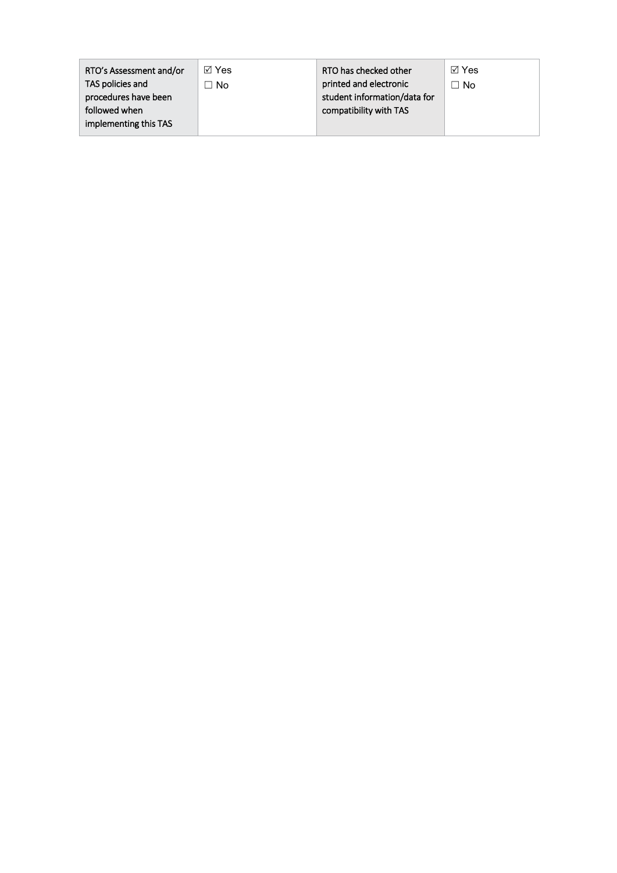| RTO's Assessment and/or | ⊠ Yes | RTO has checked other        | ାମ Yes |
|-------------------------|-------|------------------------------|--------|
| TAS policies and        | l No  | printed and electronic       | ∩ No   |
| procedures have been    |       | student information/data for |        |
| followed when           |       | compatibility with TAS       |        |
| implementing this TAS   |       |                              |        |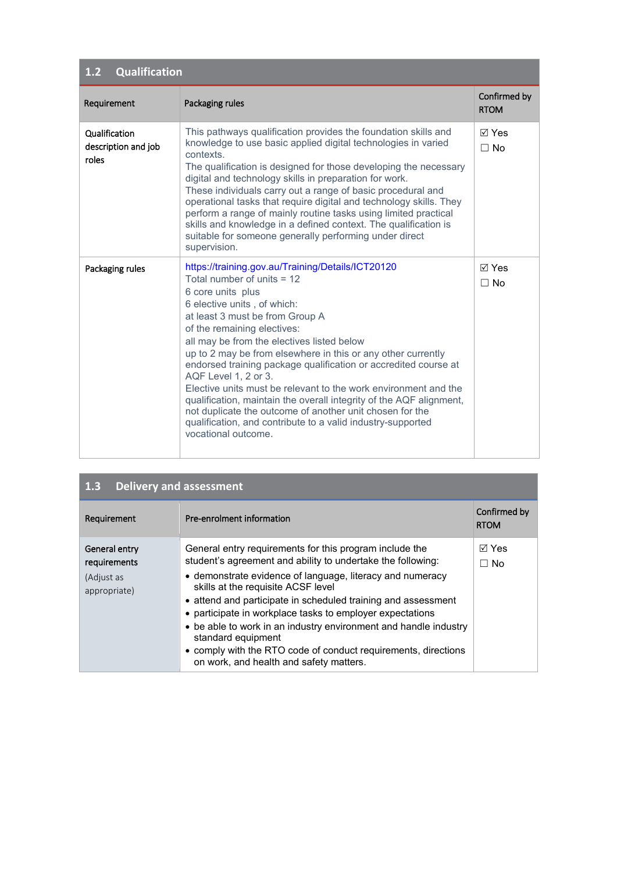| Qualification<br>1.2                          |                                                                                                                                                                                                                                                                                                                                                                                                                                                                                                                                                                                                                                                                                                              |                              |  |  |
|-----------------------------------------------|--------------------------------------------------------------------------------------------------------------------------------------------------------------------------------------------------------------------------------------------------------------------------------------------------------------------------------------------------------------------------------------------------------------------------------------------------------------------------------------------------------------------------------------------------------------------------------------------------------------------------------------------------------------------------------------------------------------|------------------------------|--|--|
| Requirement                                   | Packaging rules                                                                                                                                                                                                                                                                                                                                                                                                                                                                                                                                                                                                                                                                                              | Confirmed by<br><b>RTOM</b>  |  |  |
| Qualification<br>description and job<br>roles | This pathways qualification provides the foundation skills and<br>knowledge to use basic applied digital technologies in varied<br>contexts.<br>The qualification is designed for those developing the necessary<br>digital and technology skills in preparation for work.<br>These individuals carry out a range of basic procedural and<br>operational tasks that require digital and technology skills. They<br>perform a range of mainly routine tasks using limited practical<br>skills and knowledge in a defined context. The qualification is<br>suitable for someone generally performing under direct<br>supervision.                                                                              | $\boxdot$ Yes<br>$\Box$ No   |  |  |
| Packaging rules                               | https://training.gov.au/Training/Details/ICT20120<br>Total number of units $= 12$<br>6 core units plus<br>6 elective units, of which:<br>at least 3 must be from Group A<br>of the remaining electives:<br>all may be from the electives listed below<br>up to 2 may be from elsewhere in this or any other currently<br>endorsed training package qualification or accredited course at<br>AQF Level 1, 2 or 3.<br>Elective units must be relevant to the work environment and the<br>qualification, maintain the overall integrity of the AQF alignment,<br>not duplicate the outcome of another unit chosen for the<br>qualification, and contribute to a valid industry-supported<br>vocational outcome. | $\boxtimes$ Yes<br>$\Box$ No |  |  |

| <b>Delivery and assessment</b><br>1.3                       |                                                                                                                                                                                                                                                                                                                                                                                                                                                                                                                                                                |                             |  |
|-------------------------------------------------------------|----------------------------------------------------------------------------------------------------------------------------------------------------------------------------------------------------------------------------------------------------------------------------------------------------------------------------------------------------------------------------------------------------------------------------------------------------------------------------------------------------------------------------------------------------------------|-----------------------------|--|
| Requirement                                                 | Pre-enrolment information                                                                                                                                                                                                                                                                                                                                                                                                                                                                                                                                      | Confirmed by<br><b>RTOM</b> |  |
| General entry<br>requirements<br>(Adjust as<br>appropriate) | General entry requirements for this program include the<br>student's agreement and ability to undertake the following:<br>• demonstrate evidence of language, literacy and numeracy<br>skills at the requisite ACSF level<br>• attend and participate in scheduled training and assessment<br>• participate in workplace tasks to employer expectations<br>• be able to work in an industry environment and handle industry<br>standard equipment<br>• comply with the RTO code of conduct requirements, directions<br>on work, and health and safety matters. | ⊠ Yes<br>⊟ No               |  |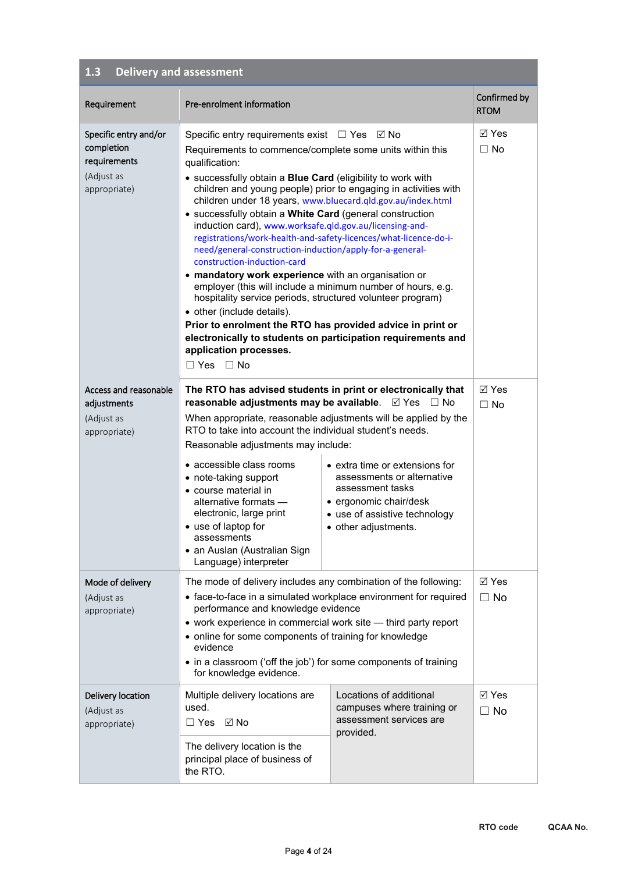| Requirement                                                                       | Pre-enrolment information                                                                                                                                                                                                                                                                                                                                                                                                                                                                                                                                                                                                                                                                                                                                                                                                                                                                                                                                                                                                     |                                                                                                                                                                                  | Confirmed by                 |
|-----------------------------------------------------------------------------------|-------------------------------------------------------------------------------------------------------------------------------------------------------------------------------------------------------------------------------------------------------------------------------------------------------------------------------------------------------------------------------------------------------------------------------------------------------------------------------------------------------------------------------------------------------------------------------------------------------------------------------------------------------------------------------------------------------------------------------------------------------------------------------------------------------------------------------------------------------------------------------------------------------------------------------------------------------------------------------------------------------------------------------|----------------------------------------------------------------------------------------------------------------------------------------------------------------------------------|------------------------------|
|                                                                                   |                                                                                                                                                                                                                                                                                                                                                                                                                                                                                                                                                                                                                                                                                                                                                                                                                                                                                                                                                                                                                               |                                                                                                                                                                                  | <b>RTOM</b>                  |
| Specific entry and/or<br>completion<br>requirements<br>(Adjust as<br>appropriate) | Specific entry requirements exist $\Box$ Yes $\Box$ No<br>Requirements to commence/complete some units within this<br>qualification:<br>• successfully obtain a Blue Card (eligibility to work with<br>children and young people) prior to engaging in activities with<br>children under 18 years, www.bluecard.qld.gov.au/index.html<br>• successfully obtain a White Card (general construction<br>induction card), www.worksafe.qld.gov.au/licensing-and-<br>registrations/work-health-and-safety-licences/what-licence-do-i-<br>need/general-construction-induction/apply-for-a-general-<br>construction-induction-card<br>• mandatory work experience with an organisation or<br>employer (this will include a minimum number of hours, e.g.<br>hospitality service periods, structured volunteer program)<br>• other (include details).<br>Prior to enrolment the RTO has provided advice in print or<br>electronically to students on participation requirements and<br>application processes.<br>$\Box$ Yes $\Box$ No |                                                                                                                                                                                  | ⊠ Yes<br>$\Box$ No           |
| Access and reasonable<br>adjustments<br>(Adjust as<br>appropriate)                | The RTO has advised students in print or electronically that<br>reasonable adjustments may be available. $\boxtimes$ Yes<br>When appropriate, reasonable adjustments will be applied by the<br>RTO to take into account the individual student's needs.<br>Reasonable adjustments may include:<br>• accessible class rooms<br>• note-taking support<br>• course material in<br>alternative formats -<br>electronic, large print<br>• use of laptop for<br>assessments<br>• an Auslan (Australian Sign<br>Language) interpreter                                                                                                                                                                                                                                                                                                                                                                                                                                                                                                | $\Box$ No<br>• extra time or extensions for<br>assessments or alternative<br>assessment tasks<br>• ergonomic chair/desk<br>• use of assistive technology<br>• other adjustments. | $\boxtimes$ Yes<br>$\Box$ No |
| Mode of delivery<br>(Adjust as<br>appropriate)                                    | The mode of delivery includes any combination of the following:<br>• face-to-face in a simulated workplace environment for required<br>performance and knowledge evidence<br>• work experience in commercial work site - third party report<br>• online for some components of training for knowledge<br>evidence<br>• in a classroom ('off the job') for some components of training<br>for knowledge evidence.                                                                                                                                                                                                                                                                                                                                                                                                                                                                                                                                                                                                              |                                                                                                                                                                                  | ⊠ Yes<br>$\Box$ No           |
| Delivery location<br>(Adjust as<br>appropriate)                                   | Multiple delivery locations are<br>used.<br>□ Yes ☑ No<br>The delivery location is the<br>principal place of business of<br>the RTO.                                                                                                                                                                                                                                                                                                                                                                                                                                                                                                                                                                                                                                                                                                                                                                                                                                                                                          | Locations of additional<br>campuses where training or<br>assessment services are<br>provided.                                                                                    | $\boxtimes$ Yes<br>$\Box$ No |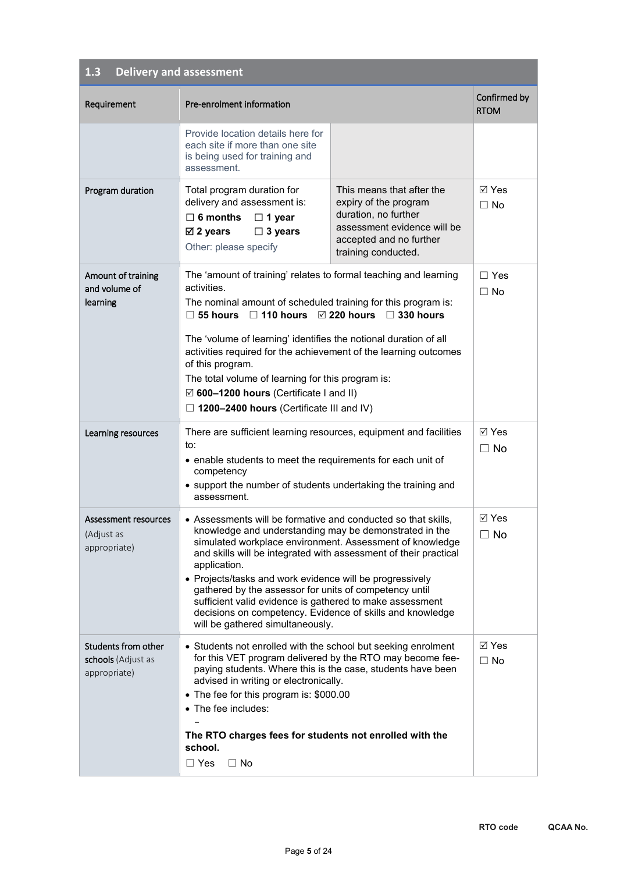| Requirement                                               | Pre-enrolment information                                                                                                                                                                                                                                                                                                                                                                                                                                                                                                                                  |                                                                                                                                                             | Confirmed by<br><b>RTOM</b>  |
|-----------------------------------------------------------|------------------------------------------------------------------------------------------------------------------------------------------------------------------------------------------------------------------------------------------------------------------------------------------------------------------------------------------------------------------------------------------------------------------------------------------------------------------------------------------------------------------------------------------------------------|-------------------------------------------------------------------------------------------------------------------------------------------------------------|------------------------------|
|                                                           | Provide location details here for<br>each site if more than one site<br>is being used for training and<br>assessment.                                                                                                                                                                                                                                                                                                                                                                                                                                      |                                                                                                                                                             |                              |
| Program duration                                          | Total program duration for<br>delivery and assessment is:<br>$\Box$ 6 months<br>$\Box$ 1 year<br>$\Box$ 3 years<br>$\boxtimes$ 2 years<br>Other: please specify                                                                                                                                                                                                                                                                                                                                                                                            | This means that after the<br>expiry of the program<br>duration, no further<br>assessment evidence will be<br>accepted and no further<br>training conducted. | <b>⊠</b> Yes<br>$\Box$ No    |
| Amount of training<br>and volume of<br>learning           | The 'amount of training' relates to formal teaching and learning<br>activities.<br>The nominal amount of scheduled training for this program is:<br>$\Box$ 55 hours $\Box$ 110 hours $\Box$ 220 hours $\Box$ 330 hours<br>The 'volume of learning' identifies the notional duration of all<br>activities required for the achievement of the learning outcomes<br>of this program.<br>The total volume of learning for this program is:<br>$\boxtimes$ 600-1200 hours (Certificate I and II)<br>$\Box$ 1200-2400 hours (Certificate III and IV)            |                                                                                                                                                             | $\Box$ Yes<br>$\Box$ No      |
| Learning resources                                        | There are sufficient learning resources, equipment and facilities<br>to:<br>• enable students to meet the requirements for each unit of<br>competency<br>• support the number of students undertaking the training and<br>assessment.                                                                                                                                                                                                                                                                                                                      |                                                                                                                                                             | $\boxtimes$ Yes<br>$\Box$ No |
| Assessment resources<br>(Adjust as<br>appropriate)        | • Assessments will be formative and conducted so that skills,<br>knowledge and understanding may be demonstrated in the<br>simulated workplace environment. Assessment of knowledge<br>and skills will be integrated with assessment of their practical<br>application.<br>• Projects/tasks and work evidence will be progressively<br>gathered by the assessor for units of competency until<br>sufficient valid evidence is gathered to make assessment<br>decisions on competency. Evidence of skills and knowledge<br>will be gathered simultaneously. |                                                                                                                                                             | $\boxtimes$ Yes<br>$\Box$ No |
| Students from other<br>schools (Adjust as<br>appropriate) | • Students not enrolled with the school but seeking enrolment<br>for this VET program delivered by the RTO may become fee-<br>paying students. Where this is the case, students have been<br>advised in writing or electronically.<br>• The fee for this program is: \$000.00<br>• The fee includes:<br>The RTO charges fees for students not enrolled with the<br>school.<br>$\Box$ Yes<br>$\Box$ No                                                                                                                                                      |                                                                                                                                                             | ⊠ Yes<br>$\Box$ No           |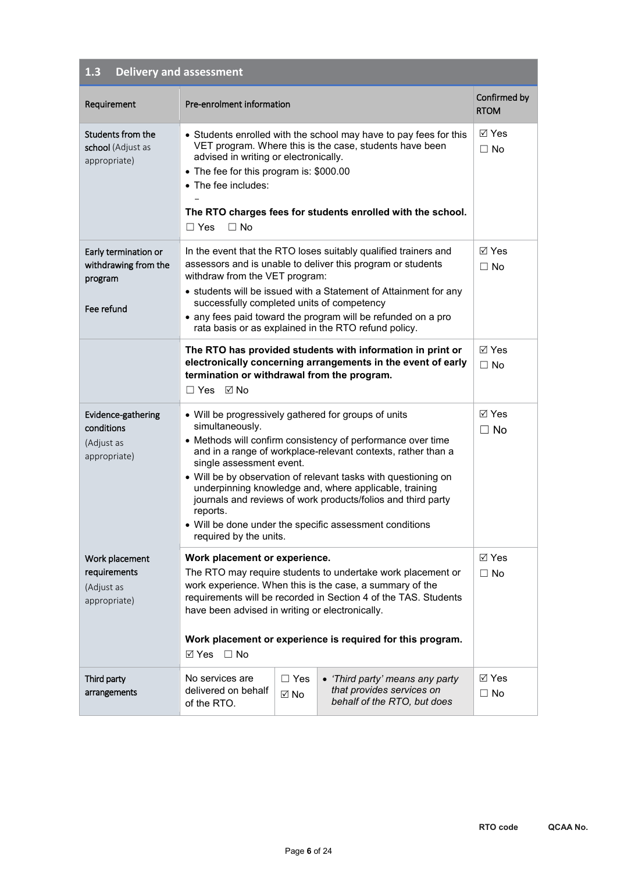| Requirement                                                           | Pre-enrolment information                                                                                                                                                                                                                                                                                                                                                                                  |                              |                                                                                                                                                                                                                                                                                                                                                                                                                                            | Confirmed by<br><b>RTOM</b>  |
|-----------------------------------------------------------------------|------------------------------------------------------------------------------------------------------------------------------------------------------------------------------------------------------------------------------------------------------------------------------------------------------------------------------------------------------------------------------------------------------------|------------------------------|--------------------------------------------------------------------------------------------------------------------------------------------------------------------------------------------------------------------------------------------------------------------------------------------------------------------------------------------------------------------------------------------------------------------------------------------|------------------------------|
| Students from the<br>school (Adjust as<br>appropriate)                | • Students enrolled with the school may have to pay fees for this<br>VET program. Where this is the case, students have been<br>advised in writing or electronically.<br>• The fee for this program is: \$000.00<br>• The fee includes:<br>The RTO charges fees for students enrolled with the school.<br>$\Box$ No<br>$\Box$ Yes                                                                          |                              | ⊠ Yes<br>$\Box$ No                                                                                                                                                                                                                                                                                                                                                                                                                         |                              |
| Early termination or<br>withdrawing from the<br>program<br>Fee refund | In the event that the RTO loses suitably qualified trainers and<br>assessors and is unable to deliver this program or students<br>withdraw from the VET program:<br>• students will be issued with a Statement of Attainment for any<br>successfully completed units of competency<br>• any fees paid toward the program will be refunded on a pro<br>rata basis or as explained in the RTO refund policy. |                              | <b>⊠</b> Yes<br>$\Box$ No                                                                                                                                                                                                                                                                                                                                                                                                                  |                              |
|                                                                       | termination or withdrawal from the program.<br>□ Yes ☑ No                                                                                                                                                                                                                                                                                                                                                  |                              | The RTO has provided students with information in print or<br>electronically concerning arrangements in the event of early                                                                                                                                                                                                                                                                                                                 | <b>⊠</b> Yes<br>$\Box$ No    |
| Evidence-gathering<br>conditions<br>(Adjust as<br>appropriate)        | simultaneously.<br>single assessment event.<br>reports.<br>required by the units.                                                                                                                                                                                                                                                                                                                          |                              | • Will be progressively gathered for groups of units<br>• Methods will confirm consistency of performance over time<br>and in a range of workplace-relevant contexts, rather than a<br>• Will be by observation of relevant tasks with questioning on<br>underpinning knowledge and, where applicable, training<br>journals and reviews of work products/folios and third party<br>• Will be done under the specific assessment conditions | <b>⊠</b> Yes<br>$\Box$ No    |
| Work placement<br>requirements<br>(Adjust as<br>appropriate)          | Work placement or experience.<br>The RTO may require students to undertake work placement or<br>work experience. When this is the case, a summary of the<br>requirements will be recorded in Section 4 of the TAS. Students<br>have been advised in writing or electronically.<br>Work placement or experience is required for this program.<br>$\boxtimes$ Yes $\Box$ No                                  |                              | $\boxtimes$ Yes<br>$\Box$ No                                                                                                                                                                                                                                                                                                                                                                                                               |                              |
| Third party<br>arrangements                                           | No services are<br>delivered on behalf<br>of the RTO.                                                                                                                                                                                                                                                                                                                                                      | $\Box$ Yes<br>$\boxtimes$ No | • 'Third party' means any party<br>that provides services on<br>behalf of the RTO, but does                                                                                                                                                                                                                                                                                                                                                | $\boxtimes$ Yes<br>$\Box$ No |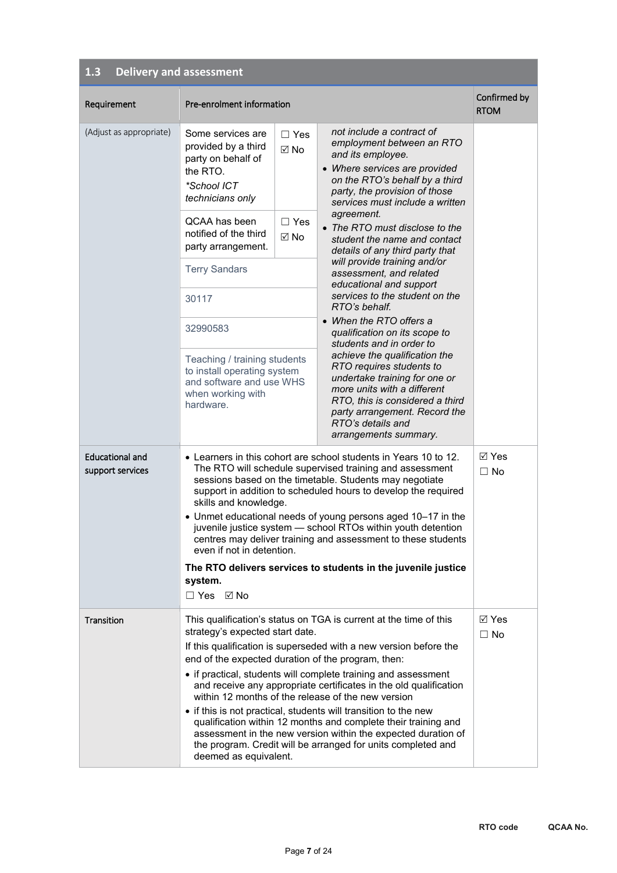| Requirement                                | Pre-enrolment information                                                                                                                                                                                                  |                    |                                                                                                                                                                                                                                                                    | Confirmed by<br><b>RTOM</b>  |
|--------------------------------------------|----------------------------------------------------------------------------------------------------------------------------------------------------------------------------------------------------------------------------|--------------------|--------------------------------------------------------------------------------------------------------------------------------------------------------------------------------------------------------------------------------------------------------------------|------------------------------|
| (Adjust as appropriate)                    | Some services are<br>provided by a third<br>party on behalf of<br>the RTO.<br>*School ICT<br>technicians only                                                                                                              | $\Box$ Yes<br>M No | not include a contract of<br>employment between an RTO<br>and its employee.<br>• Where services are provided<br>on the RTO's behalf by a third<br>party, the provision of those<br>services must include a written<br>agreement.                                   |                              |
|                                            | QCAA has been<br>notified of the third<br>party arrangement.                                                                                                                                                               | $\Box$ Yes<br>⊠ No | • The RTO must disclose to the<br>student the name and contact<br>details of any third party that                                                                                                                                                                  |                              |
|                                            | <b>Terry Sandars</b>                                                                                                                                                                                                       |                    | will provide training and/or<br>assessment, and related<br>educational and support                                                                                                                                                                                 |                              |
|                                            | 30117                                                                                                                                                                                                                      |                    | services to the student on the<br>RTO's behalf.                                                                                                                                                                                                                    |                              |
|                                            | 32990583                                                                                                                                                                                                                   |                    | • When the RTO offers a<br>qualification on its scope to<br>students and in order to                                                                                                                                                                               |                              |
|                                            | Teaching / training students<br>to install operating system<br>and software and use WHS<br>when working with<br>hardware.                                                                                                  |                    | achieve the qualification the<br>RTO requires students to<br>undertake training for one or<br>more units with a different<br>RTO, this is considered a third<br>party arrangement. Record the<br>RTO's details and<br>arrangements summary.                        |                              |
| <b>Educational and</b><br>support services | skills and knowledge.                                                                                                                                                                                                      |                    | • Learners in this cohort are school students in Years 10 to 12.<br>The RTO will schedule supervised training and assessment<br>sessions based on the timetable. Students may negotiate<br>support in addition to scheduled hours to develop the required          | $\boxtimes$ Yes<br>$\Box$ No |
|                                            | • Unmet educational needs of young persons aged 10-17 in the<br>juvenile justice system - school RTOs within youth detention<br>centres may deliver training and assessment to these students<br>even if not in detention. |                    |                                                                                                                                                                                                                                                                    |                              |
|                                            | The RTO delivers services to students in the juvenile justice<br>system.                                                                                                                                                   |                    |                                                                                                                                                                                                                                                                    |                              |
|                                            | $\Box$ Yes $\boxtimes$ No                                                                                                                                                                                                  |                    |                                                                                                                                                                                                                                                                    |                              |
| Transition                                 | strategy's expected start date.<br>end of the expected duration of the program, then:                                                                                                                                      |                    | This qualification's status on TGA is current at the time of this<br>If this qualification is superseded with a new version before the                                                                                                                             | ⊠ Yes<br>$\Box$ No           |
|                                            |                                                                                                                                                                                                                            |                    | • if practical, students will complete training and assessment<br>and receive any appropriate certificates in the old qualification<br>within 12 months of the release of the new version                                                                          |                              |
|                                            | deemed as equivalent.                                                                                                                                                                                                      |                    | • if this is not practical, students will transition to the new<br>qualification within 12 months and complete their training and<br>assessment in the new version within the expected duration of<br>the program. Credit will be arranged for units completed and |                              |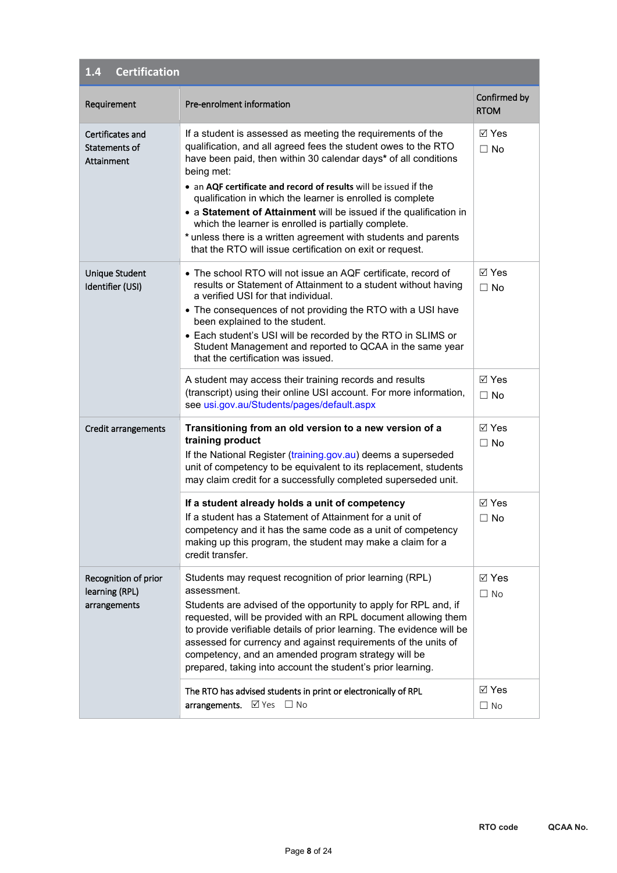| <b>Certification</b><br>1.4                            |                                                                                                                                                                                                                                                                                                                                                                                                                                                                                                                                                                                                                |                              |
|--------------------------------------------------------|----------------------------------------------------------------------------------------------------------------------------------------------------------------------------------------------------------------------------------------------------------------------------------------------------------------------------------------------------------------------------------------------------------------------------------------------------------------------------------------------------------------------------------------------------------------------------------------------------------------|------------------------------|
| Requirement                                            | Pre-enrolment information                                                                                                                                                                                                                                                                                                                                                                                                                                                                                                                                                                                      | Confirmed by<br><b>RTOM</b>  |
| Certificates and<br>Statements of<br>Attainment        | If a student is assessed as meeting the requirements of the<br>qualification, and all agreed fees the student owes to the RTO<br>have been paid, then within 30 calendar days* of all conditions<br>being met:<br>• an AQF certificate and record of results will be issued if the<br>qualification in which the learner is enrolled is complete<br>• a Statement of Attainment will be issued if the qualification in<br>which the learner is enrolled is partially complete.<br>* unless there is a written agreement with students and parents<br>that the RTO will issue certification on exit or request. | <b>⊠</b> Yes<br>$\Box$ No    |
| Unique Student<br>Identifier (USI)                     | • The school RTO will not issue an AQF certificate, record of<br>results or Statement of Attainment to a student without having<br>a verified USI for that individual.<br>• The consequences of not providing the RTO with a USI have<br>been explained to the student.<br>• Each student's USI will be recorded by the RTO in SLIMS or<br>Student Management and reported to QCAA in the same year<br>that the certification was issued.                                                                                                                                                                      | $\boxdot$ Yes<br>$\Box$ No   |
|                                                        | A student may access their training records and results<br>(transcript) using their online USI account. For more information,<br>see usi.gov.au/Students/pages/default.aspx                                                                                                                                                                                                                                                                                                                                                                                                                                    | $\nabla$ Yes<br>$\Box$ No    |
| Credit arrangements                                    | Transitioning from an old version to a new version of a<br>training product<br>If the National Register (training.gov.au) deems a superseded<br>unit of competency to be equivalent to its replacement, students<br>may claim credit for a successfully completed superseded unit.                                                                                                                                                                                                                                                                                                                             | $\boxdot$ Yes<br>$\Box$ No   |
|                                                        | If a student already holds a unit of competency<br>If a student has a Statement of Attainment for a unit of<br>competency and it has the same code as a unit of competency<br>making up this program, the student may make a claim for a<br>credit transfer.                                                                                                                                                                                                                                                                                                                                                   | $\boxdot$ Yes<br>$\Box$ No   |
| Recognition of prior<br>learning (RPL)<br>arrangements | Students may request recognition of prior learning (RPL)<br>assessment.<br>Students are advised of the opportunity to apply for RPL and, if<br>requested, will be provided with an RPL document allowing them<br>to provide verifiable details of prior learning. The evidence will be<br>assessed for currency and against requirements of the units of<br>competency, and an amended program strategy will be<br>prepared, taking into account the student's prior learning.                                                                                                                                 | $\boxtimes$ Yes<br>$\Box$ No |
|                                                        | The RTO has advised students in print or electronically of RPL<br>arrangements. Ø Yes □ No                                                                                                                                                                                                                                                                                                                                                                                                                                                                                                                     | $\boxtimes$ Yes<br>$\Box$ No |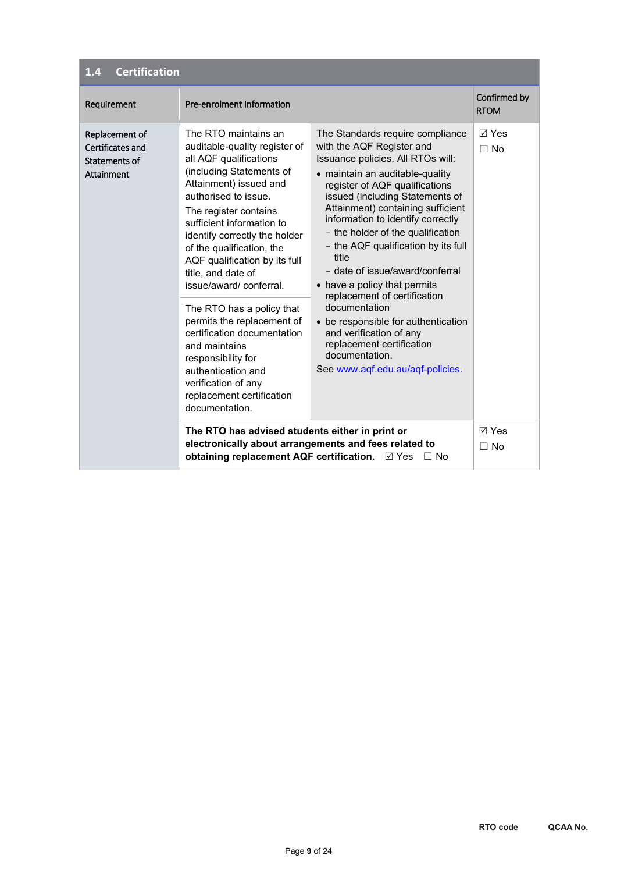### **1.4 Certification**

| Requirement                                                       | Pre-enrolment information                                                                                                                                                                                                                                                                                                                                                                                                                                                                                                                                                                       |                                                                                                                                                                                                                                                                                                                                                                                                                                                                                                                                                                                                                                                    | Confirmed by<br><b>RTOM</b> |
|-------------------------------------------------------------------|-------------------------------------------------------------------------------------------------------------------------------------------------------------------------------------------------------------------------------------------------------------------------------------------------------------------------------------------------------------------------------------------------------------------------------------------------------------------------------------------------------------------------------------------------------------------------------------------------|----------------------------------------------------------------------------------------------------------------------------------------------------------------------------------------------------------------------------------------------------------------------------------------------------------------------------------------------------------------------------------------------------------------------------------------------------------------------------------------------------------------------------------------------------------------------------------------------------------------------------------------------------|-----------------------------|
| Replacement of<br>Certificates and<br>Statements of<br>Attainment | The RTO maintains an<br>auditable-quality register of<br>all AQF qualifications<br>(including Statements of<br>Attainment) issued and<br>authorised to issue.<br>The register contains<br>sufficient information to<br>identify correctly the holder<br>of the qualification, the<br>AQF qualification by its full<br>title, and date of<br>issue/award/conferral.<br>The RTO has a policy that<br>permits the replacement of<br>certification documentation<br>and maintains<br>responsibility for<br>authentication and<br>verification of any<br>replacement certification<br>documentation. | The Standards require compliance<br>with the AQF Register and<br>Issuance policies. All RTOs will:<br>• maintain an auditable-quality<br>register of AQF qualifications<br>issued (including Statements of<br>Attainment) containing sufficient<br>information to identify correctly<br>- the holder of the qualification<br>- the AQF qualification by its full<br>title<br>- date of issue/award/conferral<br>• have a policy that permits<br>replacement of certification<br>documentation<br>• be responsible for authentication<br>and verification of any<br>replacement certification<br>documentation.<br>See www.aqf.edu.au/aqf-policies. | $\boxdot$ Yes<br>$\Box$ No  |
|                                                                   | The RTO has advised students either in print or<br>electronically about arrangements and fees related to<br>obtaining replacement AQF certification. Ø Yes                                                                                                                                                                                                                                                                                                                                                                                                                                      | $\Box$ No                                                                                                                                                                                                                                                                                                                                                                                                                                                                                                                                                                                                                                          | $\boxdot$ Yes<br>$\Box$ No  |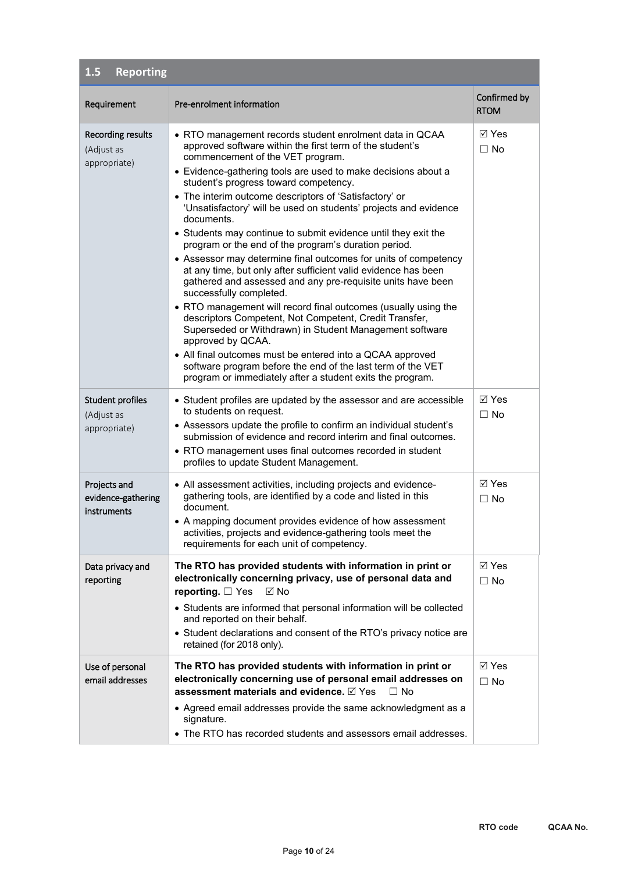| <b>Reporting</b><br>1.5                           |                                                                                                                                                                                                                                                                                                                                                                                                                                                                                                                                                                                                                                                                                                                                                                                                                                                                                                                                                                                                                                                                                                                                                                             |                              |
|---------------------------------------------------|-----------------------------------------------------------------------------------------------------------------------------------------------------------------------------------------------------------------------------------------------------------------------------------------------------------------------------------------------------------------------------------------------------------------------------------------------------------------------------------------------------------------------------------------------------------------------------------------------------------------------------------------------------------------------------------------------------------------------------------------------------------------------------------------------------------------------------------------------------------------------------------------------------------------------------------------------------------------------------------------------------------------------------------------------------------------------------------------------------------------------------------------------------------------------------|------------------------------|
| Requirement                                       | Pre-enrolment information                                                                                                                                                                                                                                                                                                                                                                                                                                                                                                                                                                                                                                                                                                                                                                                                                                                                                                                                                                                                                                                                                                                                                   | Confirmed by<br><b>RTOM</b>  |
| Recording results<br>(Adjust as<br>appropriate)   | • RTO management records student enrolment data in QCAA<br>approved software within the first term of the student's<br>commencement of the VET program.<br>• Evidence-gathering tools are used to make decisions about a<br>student's progress toward competency.<br>• The interim outcome descriptors of 'Satisfactory' or<br>'Unsatisfactory' will be used on students' projects and evidence<br>documents.<br>• Students may continue to submit evidence until they exit the<br>program or the end of the program's duration period.<br>• Assessor may determine final outcomes for units of competency<br>at any time, but only after sufficient valid evidence has been<br>gathered and assessed and any pre-requisite units have been<br>successfully completed.<br>• RTO management will record final outcomes (usually using the<br>descriptors Competent, Not Competent, Credit Transfer,<br>Superseded or Withdrawn) in Student Management software<br>approved by QCAA.<br>• All final outcomes must be entered into a QCAA approved<br>software program before the end of the last term of the VET<br>program or immediately after a student exits the program. | <b>⊠</b> Yes<br>$\Box$ No    |
| Student profiles<br>(Adjust as<br>appropriate)    | • Student profiles are updated by the assessor and are accessible<br>to students on request.<br>• Assessors update the profile to confirm an individual student's<br>submission of evidence and record interim and final outcomes.<br>• RTO management uses final outcomes recorded in student<br>profiles to update Student Management.                                                                                                                                                                                                                                                                                                                                                                                                                                                                                                                                                                                                                                                                                                                                                                                                                                    | $\boxtimes$ Yes<br>$\Box$ No |
| Projects and<br>evidence-gathering<br>instruments | • All assessment activities, including projects and evidence-<br>gathering tools, are identified by a code and listed in this<br>document.<br>• A mapping document provides evidence of how assessment<br>activities, projects and evidence-gathering tools meet the<br>requirements for each unit of competency.                                                                                                                                                                                                                                                                                                                                                                                                                                                                                                                                                                                                                                                                                                                                                                                                                                                           | <b>⊠</b> Yes<br>$\Box$ No    |
| Data privacy and<br>reporting                     | The RTO has provided students with information in print or<br>electronically concerning privacy, use of personal data and<br>reporting. $\Box$ Yes<br>⊠ No<br>• Students are informed that personal information will be collected<br>and reported on their behalf.<br>• Student declarations and consent of the RTO's privacy notice are<br>retained (for 2018 only).                                                                                                                                                                                                                                                                                                                                                                                                                                                                                                                                                                                                                                                                                                                                                                                                       | ⊠ Yes<br>$\Box$ No           |
| Use of personal<br>email addresses                | The RTO has provided students with information in print or<br>electronically concerning use of personal email addresses on<br>assessment materials and evidence. ⊠ Yes<br>$\Box$ No<br>• Agreed email addresses provide the same acknowledgment as a<br>signature.<br>• The RTO has recorded students and assessors email addresses.                                                                                                                                                                                                                                                                                                                                                                                                                                                                                                                                                                                                                                                                                                                                                                                                                                        | $\boxtimes$ Yes<br>$\Box$ No |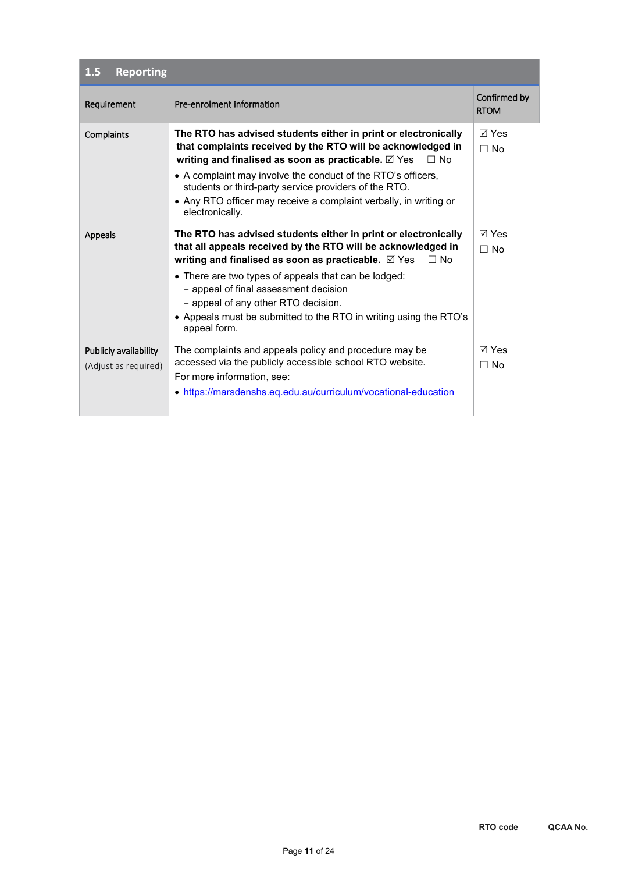| <b>Reporting</b><br>1.5                       |                                                                                                                                                                                                                                                                                                                                                                                                                                        |                             |
|-----------------------------------------------|----------------------------------------------------------------------------------------------------------------------------------------------------------------------------------------------------------------------------------------------------------------------------------------------------------------------------------------------------------------------------------------------------------------------------------------|-----------------------------|
| Requirement                                   | Pre-enrolment information                                                                                                                                                                                                                                                                                                                                                                                                              | Confirmed by<br><b>RTOM</b> |
| Complaints                                    | The RTO has advised students either in print or electronically<br>that complaints received by the RTO will be acknowledged in<br>writing and finalised as soon as practicable. $\boxtimes$ Yes<br>$\Box$ No<br>• A complaint may involve the conduct of the RTO's officers,<br>students or third-party service providers of the RTO.<br>• Any RTO officer may receive a complaint verbally, in writing or<br>electronically.           | $\boxdot$ Yes<br>$\Box$ No  |
| <b>Appeals</b>                                | The RTO has advised students either in print or electronically<br>that all appeals received by the RTO will be acknowledged in<br>writing and finalised as soon as practicable. $\boxtimes$ Yes $\Box$ No<br>• There are two types of appeals that can be lodged:<br>- appeal of final assessment decision<br>- appeal of any other RTO decision.<br>• Appeals must be submitted to the RTO in writing using the RTO's<br>appeal form. | $\boxdot$ Yes<br>$\Box$ No  |
| Publicly availability<br>(Adjust as required) | The complaints and appeals policy and procedure may be<br>accessed via the publicly accessible school RTO website.<br>For more information, see:<br>• https://marsdenshs.eq.edu.au/curriculum/vocational-education                                                                                                                                                                                                                     | ⊠ Yes<br>$\Box$ No          |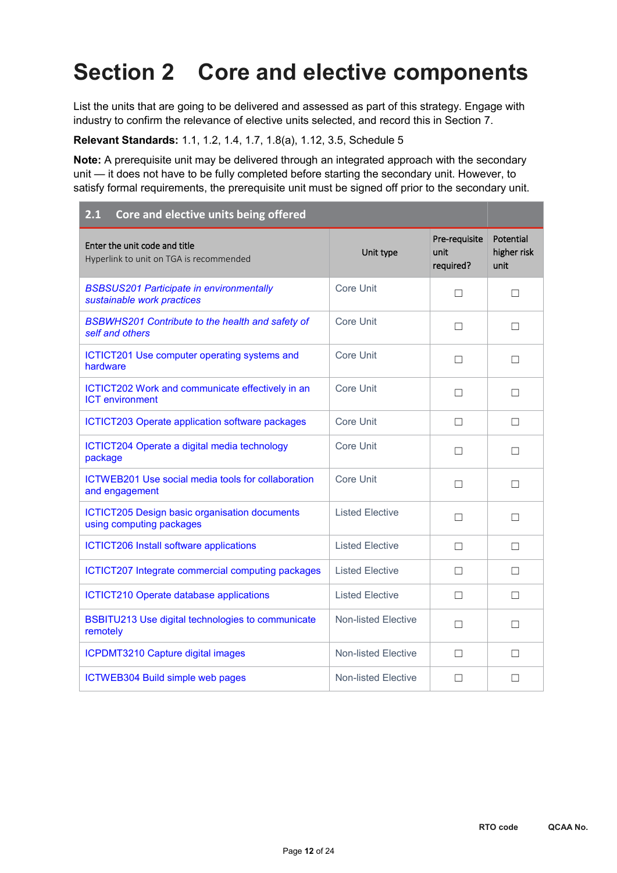## **Section 2 Core and elective components**

List the units that are going to be delivered and assessed as part of this strategy. Engage with industry to confirm the relevance of elective units selected, and record this in Section 7.

**Relevant Standards:** 1.1, 1.2, 1.4, 1.7, 1.8(a), 1.12, 3.5, Schedule 5

**Note:** A prerequisite unit may be delivered through an integrated approach with the secondary unit — it does not have to be fully completed before starting the secondary unit. However, to satisfy formal requirements, the prerequisite unit must be signed off prior to the secondary unit.

| Core and elective units being offered<br>2.1                                     |                            |                                    |                                  |  |  |  |  |
|----------------------------------------------------------------------------------|----------------------------|------------------------------------|----------------------------------|--|--|--|--|
| Enter the unit code and title<br>Hyperlink to unit on TGA is recommended         | Unit type                  | Pre-requisite<br>unit<br>required? | Potential<br>higher risk<br>unit |  |  |  |  |
| <b>BSBSUS201 Participate in environmentally</b><br>sustainable work practices    | <b>Core Unit</b>           | $\Box$                             | $\Box$                           |  |  |  |  |
| BSBWHS201 Contribute to the health and safety of<br>self and others              | Core Unit                  | П                                  | □                                |  |  |  |  |
| ICTICT201 Use computer operating systems and<br>hardware                         | Core Unit                  | П                                  | П                                |  |  |  |  |
| ICTICT202 Work and communicate effectively in an<br><b>ICT</b> environment       | <b>Core Unit</b>           | П                                  | $\Box$                           |  |  |  |  |
| <b>ICTICT203 Operate application software packages</b>                           | <b>Core Unit</b>           | П                                  | П                                |  |  |  |  |
| ICTICT204 Operate a digital media technology<br>package                          | Core Unit                  | □                                  | □                                |  |  |  |  |
| ICTWEB201 Use social media tools for collaboration<br>and engagement             | <b>Core Unit</b>           | П                                  | □                                |  |  |  |  |
| <b>ICTICT205 Design basic organisation documents</b><br>using computing packages | <b>Listed Elective</b>     | П                                  | □                                |  |  |  |  |
| <b>ICTICT206 Install software applications</b>                                   | <b>Listed Elective</b>     | П                                  | □                                |  |  |  |  |
| ICTICT207 Integrate commercial computing packages                                | <b>Listed Elective</b>     | П                                  | □                                |  |  |  |  |
| <b>ICTICT210 Operate database applications</b>                                   | <b>Listed Elective</b>     | П                                  | П                                |  |  |  |  |
| BSBITU213 Use digital technologies to communicate<br>remotely                    | <b>Non-listed Elective</b> | П                                  | П                                |  |  |  |  |
| <b>ICPDMT3210 Capture digital images</b>                                         | <b>Non-listed Elective</b> | П                                  | П                                |  |  |  |  |
| ICTWEB304 Build simple web pages                                                 | <b>Non-listed Elective</b> | П                                  | □                                |  |  |  |  |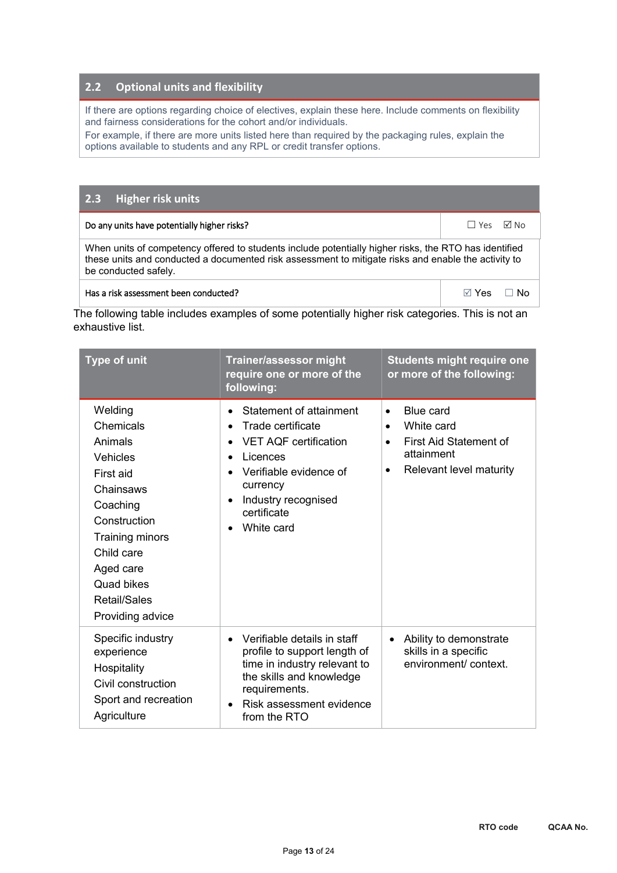#### **2.2 Optional units and flexibility**

If there are options regarding choice of electives, explain these here. Include comments on flexibility and fairness considerations for the cohort and/or individuals.

For example, if there are more units listed here than required by the packaging rules, explain the options available to students and any RPL or credit transfer options.

#### **2.3 Higher risk units**

| Do any units have potentially higher risks?                                                                                                                                                                                          | ΠYes ΜTNo |      |
|--------------------------------------------------------------------------------------------------------------------------------------------------------------------------------------------------------------------------------------|-----------|------|
| When units of competency offered to students include potentially higher risks, the RTO has identified<br>these units and conducted a documented risk assessment to mitigate risks and enable the activity to<br>be conducted safely. |           |      |
| Has a risk assessment been conducted?                                                                                                                                                                                                | ⊠ Yes     | ר N∩ |

The following table includes examples of some potentially higher risk categories. This is not an exhaustive list.

| <b>Type of unit</b>                                                                                                                                                                                      | Trainer/assessor might<br>require one or more of the<br>following:                                                                                                                                                                                               | <b>Students might require one</b><br>or more of the following:                                                                                 |
|----------------------------------------------------------------------------------------------------------------------------------------------------------------------------------------------------------|------------------------------------------------------------------------------------------------------------------------------------------------------------------------------------------------------------------------------------------------------------------|------------------------------------------------------------------------------------------------------------------------------------------------|
| Welding<br>Chemicals<br>Animals<br>Vehicles<br>First aid<br>Chainsaws<br>Coaching<br>Construction<br><b>Training minors</b><br>Child care<br>Aged care<br>Quad bikes<br>Retail/Sales<br>Providing advice | Statement of attainment<br>$\bullet$<br>Trade certificate<br>$\bullet$<br><b>VET AQF certification</b><br>$\bullet$<br>Licences<br>$\bullet$<br>Verifiable evidence of<br>currency<br>Industry recognised<br>$\bullet$<br>certificate<br>White card<br>$\bullet$ | Blue card<br>$\bullet$<br>White card<br>$\bullet$<br>First Aid Statement of<br>$\bullet$<br>attainment<br>Relevant level maturity<br>$\bullet$ |
| Specific industry<br>experience<br>Hospitality<br>Civil construction<br>Sport and recreation<br>Agriculture                                                                                              | Verifiable details in staff<br>$\bullet$<br>profile to support length of<br>time in industry relevant to<br>the skills and knowledge<br>requirements.<br>Risk assessment evidence<br>$\bullet$<br>from the RTO                                                   | Ability to demonstrate<br>skills in a specific<br>environment/context.                                                                         |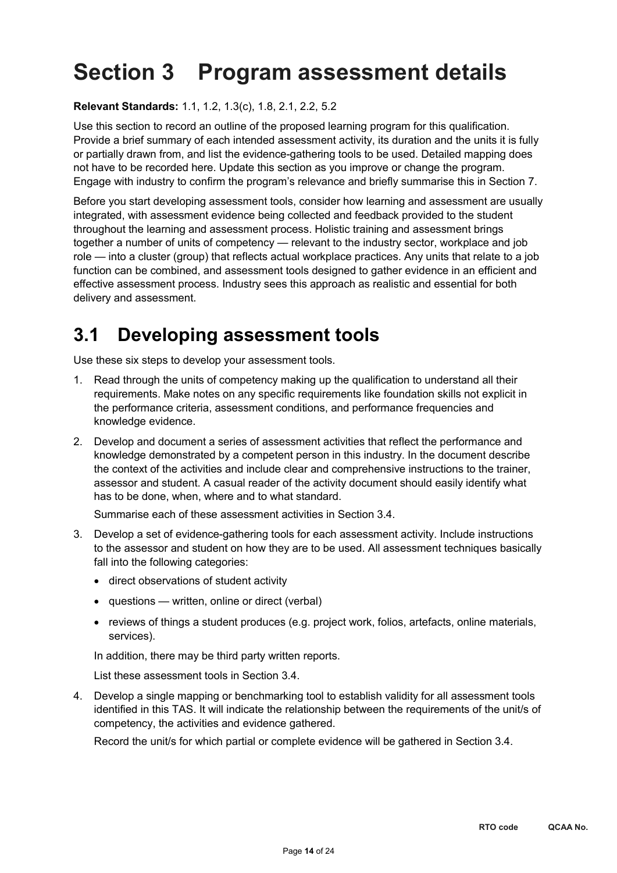# **Section 3 Program assessment details**

**Relevant Standards:** 1.1, 1.2, 1.3(c), 1.8, 2.1, 2.2, 5.2

Use this section to record an outline of the proposed learning program for this qualification. Provide a brief summary of each intended assessment activity, its duration and the units it is fully or partially drawn from, and list the evidence-gathering tools to be used. Detailed mapping does not have to be recorded here. Update this section as you improve or change the program. Engage with industry to confirm the program's relevance and briefly summarise this in Section 7.

Before you start developing assessment tools, consider how learning and assessment are usually integrated, with assessment evidence being collected and feedback provided to the student throughout the learning and assessment process. Holistic training and assessment brings together a number of units of competency — relevant to the industry sector, workplace and job role — into a cluster (group) that reflects actual workplace practices. Any units that relate to a job function can be combined, and assessment tools designed to gather evidence in an efficient and effective assessment process. Industry sees this approach as realistic and essential for both delivery and assessment.

## **3.1 Developing assessment tools**

Use these six steps to develop your assessment tools.

- 1. Read through the units of competency making up the qualification to understand all their requirements. Make notes on any specific requirements like foundation skills not explicit in the performance criteria, assessment conditions, and performance frequencies and knowledge evidence.
- 2. Develop and document a series of assessment activities that reflect the performance and knowledge demonstrated by a competent person in this industry. In the document describe the context of the activities and include clear and comprehensive instructions to the trainer, assessor and student. A casual reader of the activity document should easily identify what has to be done, when, where and to what standard.

Summarise each of these assessment activities in Section 3.4.

- 3. Develop a set of evidence-gathering tools for each assessment activity. Include instructions to the assessor and student on how they are to be used. All assessment techniques basically fall into the following categories:
	- direct observations of student activity
	- questions written, online or direct (verbal)
	- reviews of things a student produces (e.g. project work, folios, artefacts, online materials, services).

In addition, there may be third party written reports.

List these assessment tools in Section 3.4.

4. Develop a single mapping or benchmarking tool to establish validity for all assessment tools identified in this TAS. It will indicate the relationship between the requirements of the unit/s of competency, the activities and evidence gathered.

Record the unit/s for which partial or complete evidence will be gathered in Section 3.4.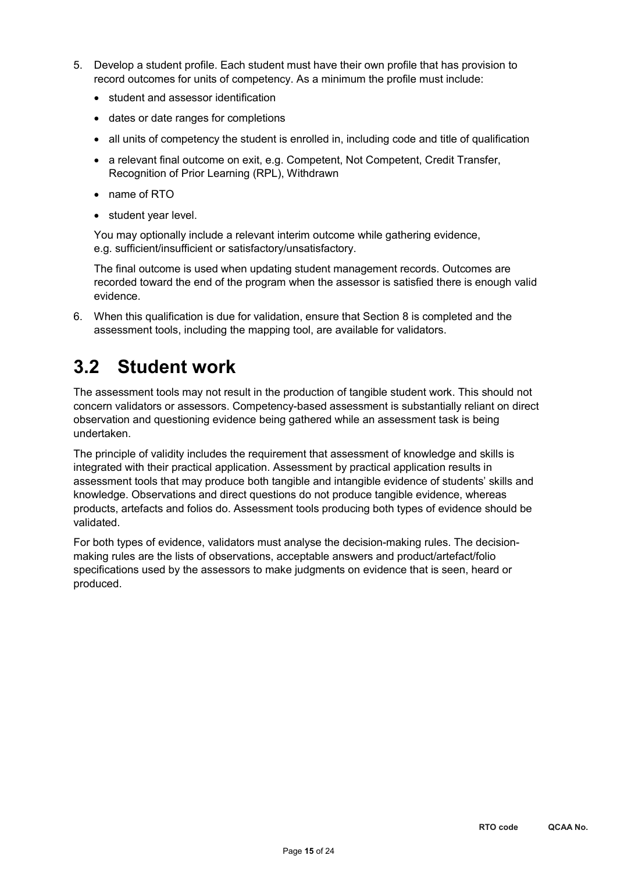- 5. Develop a student profile. Each student must have their own profile that has provision to record outcomes for units of competency. As a minimum the profile must include:
	- student and assessor identification
	- dates or date ranges for completions
	- all units of competency the student is enrolled in, including code and title of qualification
	- a relevant final outcome on exit, e.g. Competent, Not Competent, Credit Transfer, Recognition of Prior Learning (RPL), Withdrawn
	- name of RTO
	- student year level.

You may optionally include a relevant interim outcome while gathering evidence, e.g. sufficient/insufficient or satisfactory/unsatisfactory.

The final outcome is used when updating student management records. Outcomes are recorded toward the end of the program when the assessor is satisfied there is enough valid evidence.

6. When this qualification is due for validation, ensure that Section 8 is completed and the assessment tools, including the mapping tool, are available for validators.

## **3.2 Student work**

The assessment tools may not result in the production of tangible student work. This should not concern validators or assessors. Competency-based assessment is substantially reliant on direct observation and questioning evidence being gathered while an assessment task is being undertaken.

The principle of validity includes the requirement that assessment of knowledge and skills is integrated with their practical application. Assessment by practical application results in assessment tools that may produce both tangible and intangible evidence of students' skills and knowledge. Observations and direct questions do not produce tangible evidence, whereas products, artefacts and folios do. Assessment tools producing both types of evidence should be validated.

For both types of evidence, validators must analyse the decision-making rules. The decisionmaking rules are the lists of observations, acceptable answers and product/artefact/folio specifications used by the assessors to make judgments on evidence that is seen, heard or produced.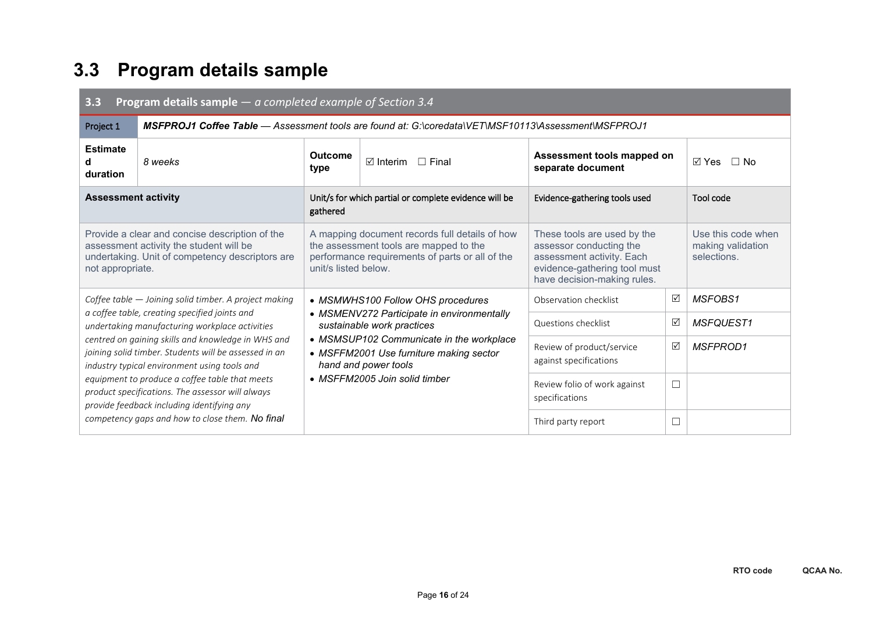## **3.3 Program details sample**

| <b>Program details sample</b> $-$ a completed example of Section 3.4<br>3.3                                                                                      |                                                                                                                                                  |                                                                                                                                                                     |                                                                                      |                                                                                                                                                    |   |                                                        |  |  |  |
|------------------------------------------------------------------------------------------------------------------------------------------------------------------|--------------------------------------------------------------------------------------------------------------------------------------------------|---------------------------------------------------------------------------------------------------------------------------------------------------------------------|--------------------------------------------------------------------------------------|----------------------------------------------------------------------------------------------------------------------------------------------------|---|--------------------------------------------------------|--|--|--|
| Project 1                                                                                                                                                        | <b>MSFPROJ1 Coffee Table</b> — Assessment tools are found at: G:\coredata\VET\MSF10113\Assessment\MSFPROJ1                                       |                                                                                                                                                                     |                                                                                      |                                                                                                                                                    |   |                                                        |  |  |  |
| <b>Estimate</b><br>d<br>duration                                                                                                                                 | 8 weeks                                                                                                                                          | <b>Outcome</b><br>type                                                                                                                                              | Assessment tools mapped on<br>$\boxdot$ Interim<br>$\Box$ Final<br>separate document |                                                                                                                                                    |   | ା Yes<br>$\Box$ No                                     |  |  |  |
| <b>Assessment activity</b>                                                                                                                                       |                                                                                                                                                  | gathered                                                                                                                                                            | Unit/s for which partial or complete evidence will be                                | Evidence-gathering tools used                                                                                                                      |   | Tool code                                              |  |  |  |
| Provide a clear and concise description of the<br>assessment activity the student will be<br>undertaking. Unit of competency descriptors are<br>not appropriate. |                                                                                                                                                  | A mapping document records full details of how<br>the assessment tools are mapped to the<br>performance requirements of parts or all of the<br>unit/s listed below. |                                                                                      | These tools are used by the<br>assessor conducting the<br>assessment activity. Each<br>evidence-gathering tool must<br>have decision-making rules. |   | Use this code when<br>making validation<br>selections. |  |  |  |
|                                                                                                                                                                  | Coffee table - Joining solid timber. A project making                                                                                            | • MSMWHS100 Follow OHS procedures<br>• MSMENV272 Participate in environmentally<br>sustainable work practices                                                       |                                                                                      | Observation checklist                                                                                                                              | ☑ | MSFOBS1                                                |  |  |  |
|                                                                                                                                                                  | a coffee table, creating specified joints and<br>undertaking manufacturing workplace activities                                                  |                                                                                                                                                                     |                                                                                      | Questions checklist                                                                                                                                | ☑ | MSFQUEST1                                              |  |  |  |
| centred on gaining skills and knowledge in WHS and<br>joining solid timber. Students will be assessed in an<br>industry typical environment using tools and      |                                                                                                                                                  | • MSMSUP102 Communicate in the workplace<br>• MSFFM2001 Use furniture making sector<br>hand and power tools                                                         |                                                                                      | Review of product/service<br>against specifications                                                                                                | ☑ | <b>MSFPROD1</b>                                        |  |  |  |
|                                                                                                                                                                  | equipment to produce a coffee table that meets<br>product specifications. The assessor will always<br>provide feedback including identifying any | • MSFFM2005 Join solid timber                                                                                                                                       |                                                                                      | Review folio of work against<br>specifications                                                                                                     | □ |                                                        |  |  |  |
|                                                                                                                                                                  | competency gaps and how to close them. No final                                                                                                  |                                                                                                                                                                     |                                                                                      | Third party report                                                                                                                                 | □ |                                                        |  |  |  |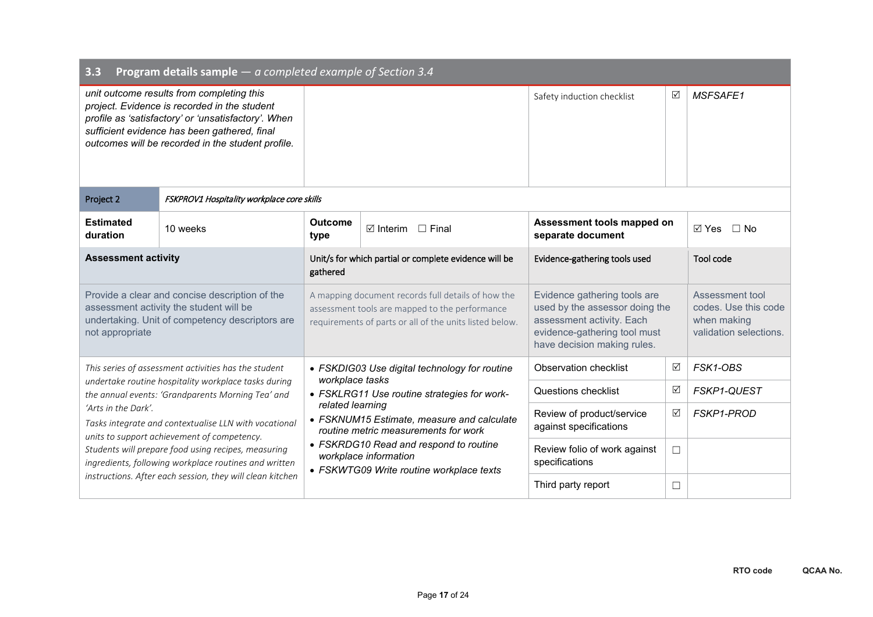| <b>Program details sample</b> $-$ a completed example of Section 3.4<br>3.3                                                                                                                                                                                                                              |                                                                                                           |                                                                                                                                                                                                                       |                                                                                     |                                                                                                                                                            |   |                                                                                  |
|----------------------------------------------------------------------------------------------------------------------------------------------------------------------------------------------------------------------------------------------------------------------------------------------------------|-----------------------------------------------------------------------------------------------------------|-----------------------------------------------------------------------------------------------------------------------------------------------------------------------------------------------------------------------|-------------------------------------------------------------------------------------|------------------------------------------------------------------------------------------------------------------------------------------------------------|---|----------------------------------------------------------------------------------|
| unit outcome results from completing this<br>project. Evidence is recorded in the student<br>profile as 'satisfactory' or 'unsatisfactory'. When<br>sufficient evidence has been gathered, final<br>outcomes will be recorded in the student profile.                                                    |                                                                                                           |                                                                                                                                                                                                                       |                                                                                     | Safety induction checklist                                                                                                                                 | ☑ | <b>MSFSAFE1</b>                                                                  |
| Project 2                                                                                                                                                                                                                                                                                                | FSKPROV1 Hospitality workplace core skills                                                                |                                                                                                                                                                                                                       |                                                                                     |                                                                                                                                                            |   |                                                                                  |
| <b>Estimated</b><br>duration                                                                                                                                                                                                                                                                             | 10 weeks                                                                                                  | <b>Outcome</b><br>type                                                                                                                                                                                                | Assessment tools mapped on<br>$\boxtimes$ Interim $\Box$ Final<br>separate document |                                                                                                                                                            |   | $\Box$ No<br>⊠ Yes                                                               |
| <b>Assessment activity</b>                                                                                                                                                                                                                                                                               |                                                                                                           | Unit/s for which partial or complete evidence will be<br>gathered                                                                                                                                                     |                                                                                     | Evidence-gathering tools used                                                                                                                              |   | Tool code                                                                        |
| Provide a clear and concise description of the<br>assessment activity the student will be<br>undertaking. Unit of competency descriptors are<br>not appropriate                                                                                                                                          |                                                                                                           | A mapping document records full details of how the<br>assessment tools are mapped to the performance<br>requirements of parts or all of the units listed below.                                                       |                                                                                     | Evidence gathering tools are<br>used by the assessor doing the<br>assessment activity. Each<br>evidence-gathering tool must<br>have decision making rules. |   | Assessment tool<br>codes. Use this code<br>when making<br>validation selections. |
|                                                                                                                                                                                                                                                                                                          | This series of assessment activities has the student                                                      | workplace tasks                                                                                                                                                                                                       | • FSKDIG03 Use digital technology for routine                                       | Observation checklist                                                                                                                                      | ☑ | FSK1-OBS                                                                         |
|                                                                                                                                                                                                                                                                                                          | undertake routine hospitality workplace tasks during<br>the annual events: 'Grandparents Morning Tea' and |                                                                                                                                                                                                                       | • FSKLRG11 Use routine strategies for work-                                         | <b>Questions checklist</b>                                                                                                                                 | ☑ | <b>FSKP1-QUEST</b>                                                               |
| 'Arts in the Dark'.<br>Tasks integrate and contextualise LLN with vocational<br>units to support achievement of competency.<br>Students will prepare food using recipes, measuring<br>ingredients, following workplace routines and written<br>instructions. After each session, they will clean kitchen |                                                                                                           | related learning<br>• FSKNUM15 Estimate, measure and calculate<br>routine metric measurements for work<br>• FSKRDG10 Read and respond to routine<br>workplace information<br>• FSKWTG09 Write routine workplace texts |                                                                                     | Review of product/service<br>against specifications                                                                                                        | ☑ | <b>FSKP1-PROD</b>                                                                |
|                                                                                                                                                                                                                                                                                                          |                                                                                                           |                                                                                                                                                                                                                       |                                                                                     | Review folio of work against<br>specifications                                                                                                             | ш |                                                                                  |
|                                                                                                                                                                                                                                                                                                          |                                                                                                           |                                                                                                                                                                                                                       |                                                                                     | Third party report                                                                                                                                         | ⊔ |                                                                                  |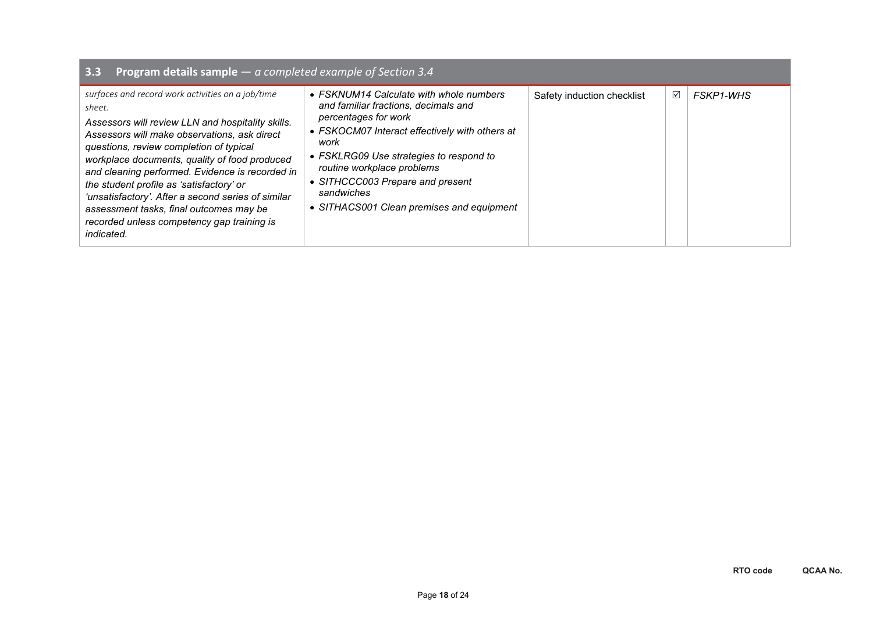| <b>Program details sample</b> $-$ a completed example of Section 3.4<br>3.3                                                                                                                                                                                                                                                                                                                                                                                                                                                     |                                                                                                                                                                                                                                                                                                                                           |                            |   |                  |
|---------------------------------------------------------------------------------------------------------------------------------------------------------------------------------------------------------------------------------------------------------------------------------------------------------------------------------------------------------------------------------------------------------------------------------------------------------------------------------------------------------------------------------|-------------------------------------------------------------------------------------------------------------------------------------------------------------------------------------------------------------------------------------------------------------------------------------------------------------------------------------------|----------------------------|---|------------------|
| surfaces and record work activities on a job/time<br>sheet.<br>Assessors will review LLN and hospitality skills.<br>Assessors will make observations, ask direct<br>questions, review completion of typical<br>workplace documents, quality of food produced<br>and cleaning performed. Evidence is recorded in<br>the student profile as 'satisfactory' or<br>'unsatisfactory'. After a second series of similar<br>assessment tasks, final outcomes may be<br>recorded unless competency gap training is<br><i>indicated.</i> | • FSKNUM14 Calculate with whole numbers<br>and familiar fractions, decimals and<br>percentages for work<br>• FSKOCM07 Interact effectively with others at<br>work<br>• FSKLRG09 Use strategies to respond to<br>routine workplace problems<br>• SITHCCC003 Prepare and present<br>sandwiches<br>• SITHACS001 Clean premises and equipment | Safety induction checklist | ☑ | <b>FSKP1-WHS</b> |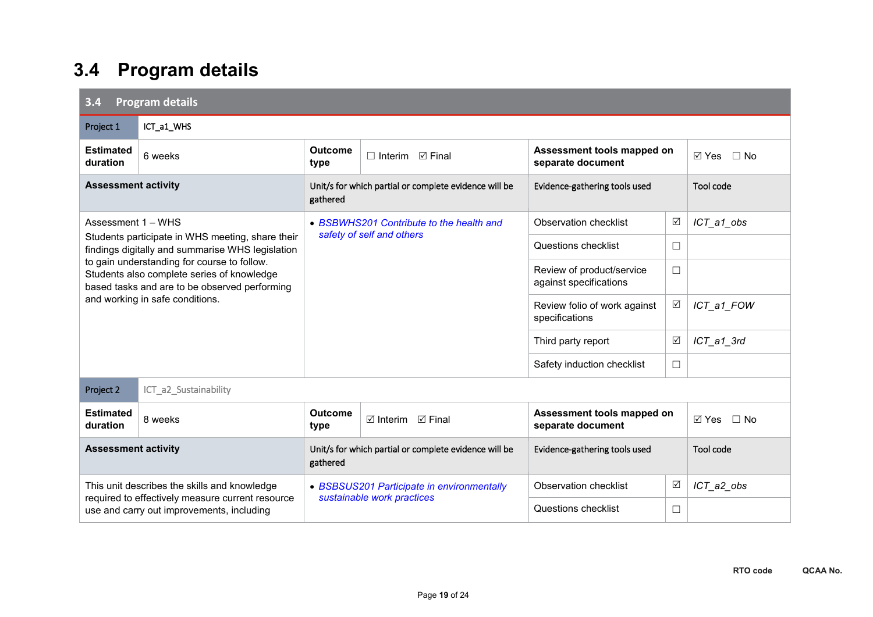## **3.4 Program details**

| 3.4<br><b>Program details</b>                                                                                                                                                 |                                                                                                      |                                                                          |                                                       |                                                     |                 |                              |  |
|-------------------------------------------------------------------------------------------------------------------------------------------------------------------------------|------------------------------------------------------------------------------------------------------|--------------------------------------------------------------------------|-------------------------------------------------------|-----------------------------------------------------|-----------------|------------------------------|--|
| Project 1                                                                                                                                                                     | ICT_a1_WHS                                                                                           |                                                                          |                                                       |                                                     |                 |                              |  |
| <b>Estimated</b><br>duration                                                                                                                                                  | 6 weeks                                                                                              | <b>Outcome</b><br>type                                                   | $\Box$ Interim $\Box$ Final                           | Assessment tools mapped on<br>separate document     |                 | $\boxtimes$ Yes<br>$\Box$ No |  |
| <b>Assessment activity</b>                                                                                                                                                    |                                                                                                      | gathered                                                                 | Unit/s for which partial or complete evidence will be | Evidence-gathering tools used                       |                 | Tool code                    |  |
| Assessment 1 - WHS                                                                                                                                                            |                                                                                                      |                                                                          | • BSBWHS201 Contribute to the health and              | <b>Observation checklist</b>                        | $\triangledown$ | ICT_a1_obs                   |  |
|                                                                                                                                                                               | Students participate in WHS meeting, share their<br>findings digitally and summarise WHS legislation | safety of self and others                                                |                                                       | Questions checklist                                 | $\Box$          |                              |  |
| to gain understanding for course to follow.<br>Students also complete series of knowledge<br>based tasks and are to be observed performing<br>and working in safe conditions. |                                                                                                      |                                                                          |                                                       | Review of product/service<br>against specifications | $\Box$          |                              |  |
|                                                                                                                                                                               |                                                                                                      |                                                                          |                                                       | Review folio of work against<br>specifications      | $\triangledown$ | ICT_a1_FOW                   |  |
|                                                                                                                                                                               |                                                                                                      |                                                                          |                                                       | Third party report                                  | ☑               | $ICT_a1_3rd$                 |  |
|                                                                                                                                                                               |                                                                                                      |                                                                          |                                                       | Safety induction checklist                          | $\Box$          |                              |  |
| Project 2                                                                                                                                                                     | ICT_a2_Sustainability                                                                                |                                                                          |                                                       |                                                     |                 |                              |  |
| <b>Estimated</b><br>duration                                                                                                                                                  | 8 weeks                                                                                              | <b>Outcome</b><br>type                                                   | $\boxtimes$ Interim $\boxtimes$ Final                 | Assessment tools mapped on<br>separate document     |                 | $\boxtimes$ Yes<br>$\Box$ No |  |
| <b>Assessment activity</b>                                                                                                                                                    |                                                                                                      | Unit/s for which partial or complete evidence will be<br>gathered        |                                                       | Evidence-gathering tools used                       |                 | Tool code                    |  |
|                                                                                                                                                                               | This unit describes the skills and knowledge                                                         | • BSBSUS201 Participate in environmentally<br>sustainable work practices |                                                       | <b>Observation checklist</b>                        | $\triangledown$ | ICT_a2_obs                   |  |
| required to effectively measure current resource<br>use and carry out improvements, including                                                                                 |                                                                                                      |                                                                          |                                                       | <b>Questions checklist</b>                          | $\Box$          |                              |  |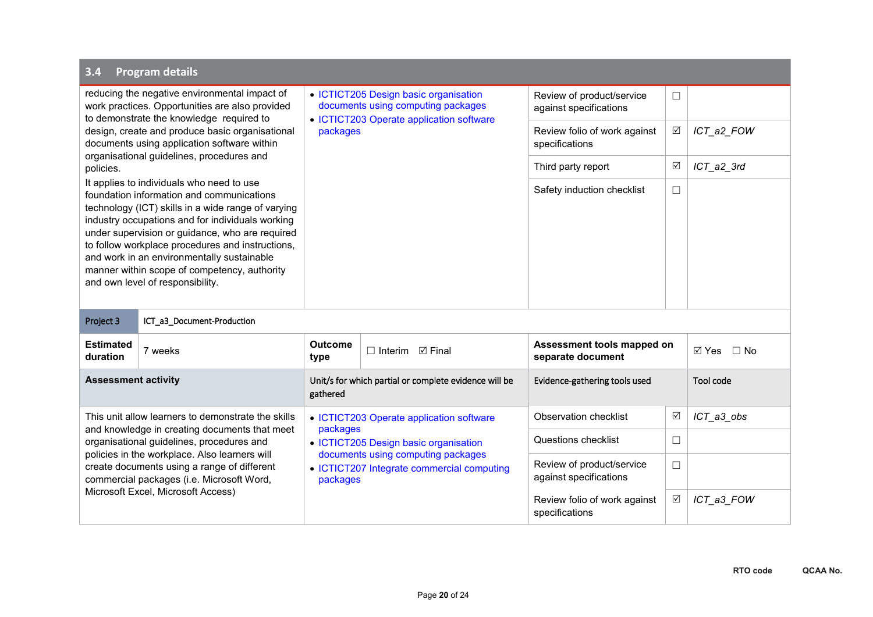| 3.4                                                                                                                                                                                                                                                                                                                                                                                                                                       | <b>Program details</b>                                                                                                                     |                                                                                              |                                          |                                                     |        |              |  |  |
|-------------------------------------------------------------------------------------------------------------------------------------------------------------------------------------------------------------------------------------------------------------------------------------------------------------------------------------------------------------------------------------------------------------------------------------------|--------------------------------------------------------------------------------------------------------------------------------------------|----------------------------------------------------------------------------------------------|------------------------------------------|-----------------------------------------------------|--------|--------------|--|--|
|                                                                                                                                                                                                                                                                                                                                                                                                                                           | reducing the negative environmental impact of<br>work practices. Opportunities are also provided                                           | • ICTICT205 Design basic organisation<br>documents using computing packages                  |                                          | Review of product/service<br>against specifications | $\Box$ |              |  |  |
|                                                                                                                                                                                                                                                                                                                                                                                                                                           | to demonstrate the knowledge required to<br>design, create and produce basic organisational<br>documents using application software within | packages                                                                                     | • ICTICT203 Operate application software | Review folio of work against<br>specifications      | ☑      | ICT_a2_FOW   |  |  |
| policies.                                                                                                                                                                                                                                                                                                                                                                                                                                 | organisational guidelines, procedures and                                                                                                  |                                                                                              |                                          | Third party report                                  | ☑      | $ICT_a2_3rd$ |  |  |
| It applies to individuals who need to use<br>foundation information and communications<br>technology (ICT) skills in a wide range of varying<br>industry occupations and for individuals working<br>under supervision or guidance, who are required<br>to follow workplace procedures and instructions,<br>and work in an environmentally sustainable<br>manner within scope of competency, authority<br>and own level of responsibility. |                                                                                                                                            |                                                                                              |                                          | Safety induction checklist                          | □      |              |  |  |
| Project 3                                                                                                                                                                                                                                                                                                                                                                                                                                 | ICT_a3_Document-Production                                                                                                                 |                                                                                              |                                          |                                                     |        |              |  |  |
| <b>Estimated</b><br>duration                                                                                                                                                                                                                                                                                                                                                                                                              | 7 weeks                                                                                                                                    | <b>Outcome</b><br>type                                                                       | ⊠ Final<br>$\Box$ Interim                | Assessment tools mapped on<br>separate document     |        | ⊠ Yes □ No   |  |  |
| <b>Assessment activity</b>                                                                                                                                                                                                                                                                                                                                                                                                                |                                                                                                                                            | Unit/s for which partial or complete evidence will be<br>gathered                            |                                          | Evidence-gathering tools used                       |        | Tool code    |  |  |
|                                                                                                                                                                                                                                                                                                                                                                                                                                           | This unit allow learners to demonstrate the skills                                                                                         | packages                                                                                     | • ICTICT203 Operate application software | Observation checklist                               | ☑      | ICT_a3_obs   |  |  |
| and knowledge in creating documents that meet<br>organisational guidelines, procedures and<br>policies in the workplace. Also learners will<br>create documents using a range of different<br>commercial packages (i.e. Microsoft Word,                                                                                                                                                                                                   |                                                                                                                                            |                                                                                              | • ICTICT205 Design basic organisation    | <b>Questions checklist</b>                          | □      |              |  |  |
|                                                                                                                                                                                                                                                                                                                                                                                                                                           |                                                                                                                                            | documents using computing packages<br>• ICTICT207 Integrate commercial computing<br>packages |                                          | Review of product/service<br>against specifications | □      |              |  |  |
|                                                                                                                                                                                                                                                                                                                                                                                                                                           | Microsoft Excel, Microsoft Access)                                                                                                         |                                                                                              |                                          | Review folio of work against<br>specifications      | ☑      | ICT_a3_FOW   |  |  |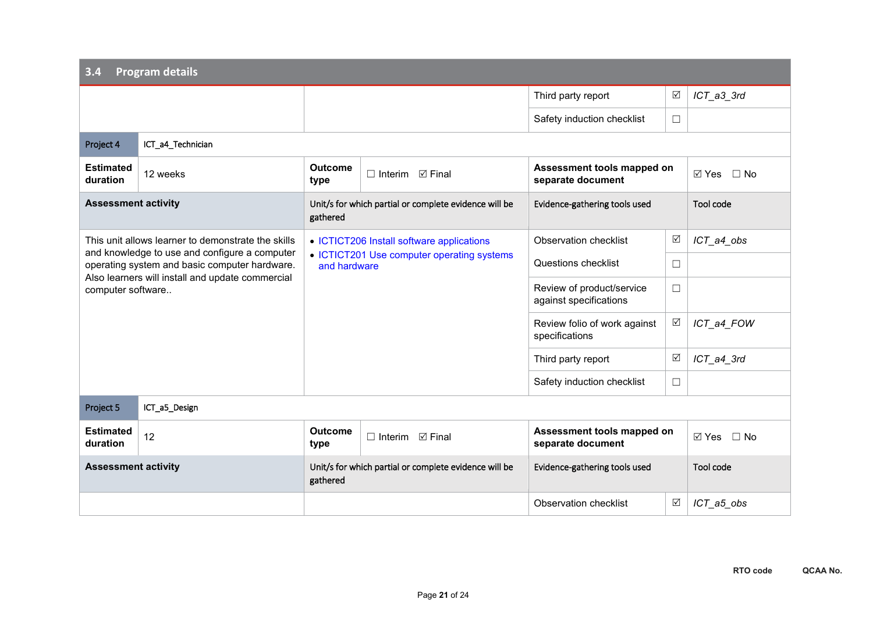| 3.4                                                                   | <b>Program details</b>                                                                         |                                                                   |                                                       |                                                     |                 |                              |
|-----------------------------------------------------------------------|------------------------------------------------------------------------------------------------|-------------------------------------------------------------------|-------------------------------------------------------|-----------------------------------------------------|-----------------|------------------------------|
|                                                                       |                                                                                                |                                                                   |                                                       | Third party report                                  | $\triangledown$ | ICT_a3_3rd                   |
|                                                                       |                                                                                                |                                                                   |                                                       | Safety induction checklist                          | $\Box$          |                              |
| Project 4                                                             | ICT_a4_Technician                                                                              |                                                                   |                                                       |                                                     |                 |                              |
| <b>Estimated</b><br>duration                                          | 12 weeks                                                                                       | <b>Outcome</b><br>type                                            | $\Box$ Interim $\Box$ Final                           | Assessment tools mapped on<br>separate document     |                 | $\Box$ No<br>⊠ Yes           |
| <b>Assessment activity</b>                                            |                                                                                                | gathered                                                          | Unit/s for which partial or complete evidence will be | Evidence-gathering tools used                       |                 | Tool code                    |
|                                                                       | This unit allows learner to demonstrate the skills                                             |                                                                   | • ICTICT206 Install software applications             | Observation checklist                               | $\triangledown$ | ICT_a4_obs                   |
|                                                                       | and knowledge to use and configure a computer<br>operating system and basic computer hardware. | • ICTICT201 Use computer operating systems<br>and hardware        |                                                       | Questions checklist                                 | $\Box$          |                              |
| Also learners will install and update commercial<br>computer software |                                                                                                |                                                                   |                                                       | Review of product/service<br>against specifications | $\Box$          |                              |
|                                                                       |                                                                                                |                                                                   |                                                       | Review folio of work against<br>specifications      | ☑               | ICT_a4_FOW                   |
|                                                                       |                                                                                                |                                                                   |                                                       | Third party report                                  | $\sqrt{}$       | ICT_a4_3rd                   |
|                                                                       |                                                                                                |                                                                   |                                                       | Safety induction checklist                          | $\Box$          |                              |
| Project 5                                                             | ICT_a5_Design                                                                                  |                                                                   |                                                       |                                                     |                 |                              |
| <b>Estimated</b><br>duration                                          | 12                                                                                             | <b>Outcome</b><br>type                                            | ⊠ Final<br>$\Box$ Interim                             | Assessment tools mapped on<br>separate document     |                 | $\boxtimes$ Yes<br>$\Box$ No |
| <b>Assessment activity</b>                                            |                                                                                                | Unit/s for which partial or complete evidence will be<br>gathered |                                                       | Evidence-gathering tools used                       |                 | Tool code                    |
|                                                                       |                                                                                                |                                                                   |                                                       | <b>Observation checklist</b>                        | $\triangledown$ | ICT_a5_obs                   |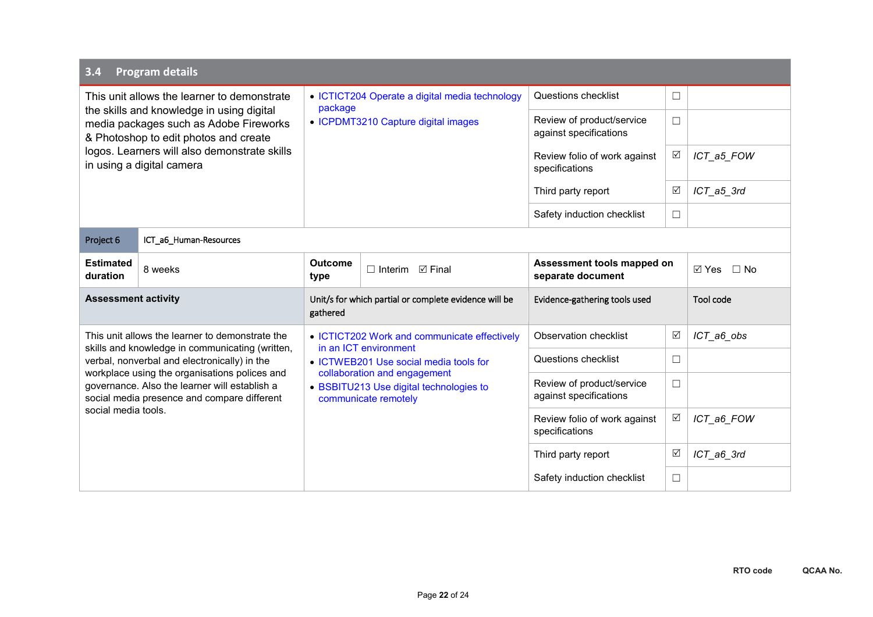| 3.4                                                                                                                                                                  | <b>Program details</b>                                                                                                       |                                                                                                 |                                                                       |                                                     |                              |              |  |  |
|----------------------------------------------------------------------------------------------------------------------------------------------------------------------|------------------------------------------------------------------------------------------------------------------------------|-------------------------------------------------------------------------------------------------|-----------------------------------------------------------------------|-----------------------------------------------------|------------------------------|--------------|--|--|
|                                                                                                                                                                      | This unit allows the learner to demonstrate                                                                                  | package                                                                                         | • ICTICT204 Operate a digital media technology                        | Questions checklist                                 | $\Box$                       |              |  |  |
|                                                                                                                                                                      | the skills and knowledge in using digital<br>media packages such as Adobe Fireworks<br>& Photoshop to edit photos and create |                                                                                                 | • ICPDMT3210 Capture digital images                                   | Review of product/service<br>against specifications | $\Box$                       |              |  |  |
|                                                                                                                                                                      | logos. Learners will also demonstrate skills<br>in using a digital camera                                                    |                                                                                                 |                                                                       | Review folio of work against<br>specifications      | ☑                            | ICT_a5_FOW   |  |  |
|                                                                                                                                                                      |                                                                                                                              |                                                                                                 |                                                                       | Third party report                                  | ☑                            | $ICT_a5_3rd$ |  |  |
|                                                                                                                                                                      |                                                                                                                              |                                                                                                 |                                                                       | Safety induction checklist                          | $\Box$                       |              |  |  |
| Project 6                                                                                                                                                            | ICT_a6_Human-Resources                                                                                                       |                                                                                                 |                                                                       |                                                     |                              |              |  |  |
| <b>Estimated</b><br>duration                                                                                                                                         | 8 weeks                                                                                                                      | <b>Outcome</b><br>type                                                                          | $\Box$ Interim $\Box$ Final                                           | Assessment tools mapped on<br>separate document     | $\boxtimes$ Yes<br>$\Box$ No |              |  |  |
| <b>Assessment activity</b>                                                                                                                                           |                                                                                                                              | Unit/s for which partial or complete evidence will be<br>gathered                               |                                                                       | Evidence-gathering tools used                       |                              | Tool code    |  |  |
|                                                                                                                                                                      | This unit allows the learner to demonstrate the                                                                              |                                                                                                 | • ICTICT202 Work and communicate effectively<br>in an ICT environment | <b>Observation checklist</b>                        | ☑                            | ICT_a6_obs   |  |  |
|                                                                                                                                                                      | skills and knowledge in communicating (written,<br>verbal, nonverbal and electronically) in the                              |                                                                                                 | • ICTWEB201 Use social media tools for                                | Questions checklist                                 | $\Box$                       |              |  |  |
| workplace using the organisations polices and<br>governance. Also the learner will establish a<br>social media presence and compare different<br>social media tools. |                                                                                                                              | collaboration and engagement<br>• BSBITU213 Use digital technologies to<br>communicate remotely |                                                                       | Review of product/service<br>against specifications | $\Box$                       |              |  |  |
|                                                                                                                                                                      |                                                                                                                              |                                                                                                 |                                                                       | Review folio of work against<br>specifications      | ☑                            | ICT_a6_FOW   |  |  |
|                                                                                                                                                                      |                                                                                                                              |                                                                                                 |                                                                       | Third party report                                  | ☑                            | ICT_a6_3rd   |  |  |
|                                                                                                                                                                      |                                                                                                                              |                                                                                                 |                                                                       | Safety induction checklist                          | $\Box$                       |              |  |  |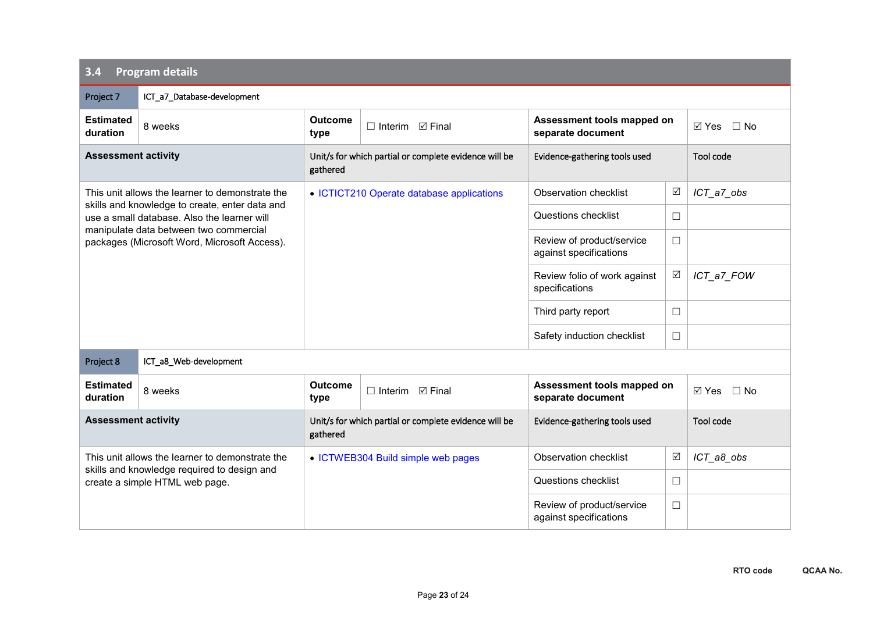| 3.4                                                                                    | <b>Program details</b>                                                                        |                                                                   |                                                       |                                                     |                 |                           |  |  |
|----------------------------------------------------------------------------------------|-----------------------------------------------------------------------------------------------|-------------------------------------------------------------------|-------------------------------------------------------|-----------------------------------------------------|-----------------|---------------------------|--|--|
| Project 7                                                                              | ICT_a7_Database-development                                                                   |                                                                   |                                                       |                                                     |                 |                           |  |  |
| <b>Estimated</b><br>duration                                                           | 8 weeks                                                                                       | <b>Outcome</b><br>type                                            | $\Box$ Interim $\Box$ Final                           | Assessment tools mapped on<br>separate document     |                 | $\Box$ No<br>⊠ Yes        |  |  |
| <b>Assessment activity</b>                                                             |                                                                                               | gathered                                                          | Unit/s for which partial or complete evidence will be | Evidence-gathering tools used                       |                 | Tool code                 |  |  |
|                                                                                        | This unit allows the learner to demonstrate the                                               |                                                                   | • ICTICT210 Operate database applications             | Observation checklist                               | $\triangledown$ | ICT a7_obs                |  |  |
|                                                                                        | skills and knowledge to create, enter data and<br>use a small database. Also the learner will |                                                                   |                                                       | Questions checklist                                 | $\Box$          |                           |  |  |
| manipulate data between two commercial<br>packages (Microsoft Word, Microsoft Access). |                                                                                               |                                                                   |                                                       | Review of product/service<br>against specifications | $\Box$          |                           |  |  |
|                                                                                        |                                                                                               |                                                                   |                                                       | Review folio of work against<br>specifications      | $\triangledown$ | ICT_a7_FOW                |  |  |
|                                                                                        |                                                                                               |                                                                   |                                                       | Third party report                                  | $\Box$          |                           |  |  |
|                                                                                        |                                                                                               |                                                                   |                                                       | Safety induction checklist                          | $\Box$          |                           |  |  |
| Project 8                                                                              | ICT_a8_Web-development                                                                        |                                                                   |                                                       |                                                     |                 |                           |  |  |
| <b>Estimated</b><br>duration                                                           | 8 weeks                                                                                       | <b>Outcome</b><br>type                                            | $\Box$ Interim $\Box$ Final                           | Assessment tools mapped on<br>separate document     |                 | $\boxtimes$ Yes $\Box$ No |  |  |
| <b>Assessment activity</b>                                                             |                                                                                               | Unit/s for which partial or complete evidence will be<br>gathered |                                                       | Evidence-gathering tools used                       |                 | Tool code                 |  |  |
| This unit allows the learner to demonstrate the                                        |                                                                                               |                                                                   | • ICTWEB304 Build simple web pages                    | Observation checklist                               | ☑               | ICT_a8_obs                |  |  |
|                                                                                        | skills and knowledge required to design and<br>create a simple HTML web page.                 |                                                                   |                                                       | Questions checklist                                 | $\Box$          |                           |  |  |
|                                                                                        |                                                                                               |                                                                   |                                                       | Review of product/service<br>against specifications | $\Box$          |                           |  |  |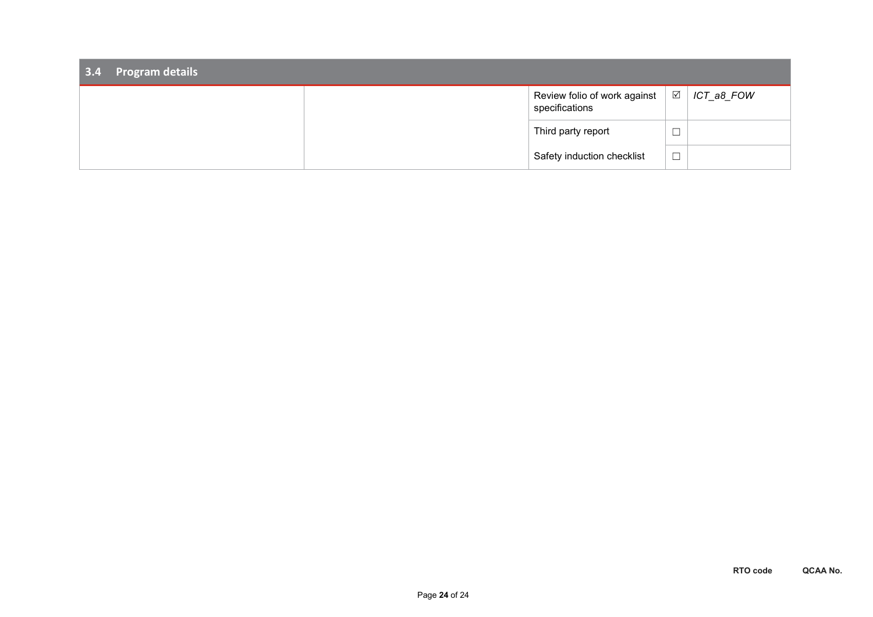| 3.4 Program details |                                                |                               |            |
|---------------------|------------------------------------------------|-------------------------------|------------|
|                     | Review folio of work against<br>specifications | $\sqrt{ }$                    | ICT_a8_FOW |
|                     | Third party report                             | ─                             |            |
|                     | Safety induction checklist                     | $\overline{\phantom{0}}$<br>ᅳ |            |